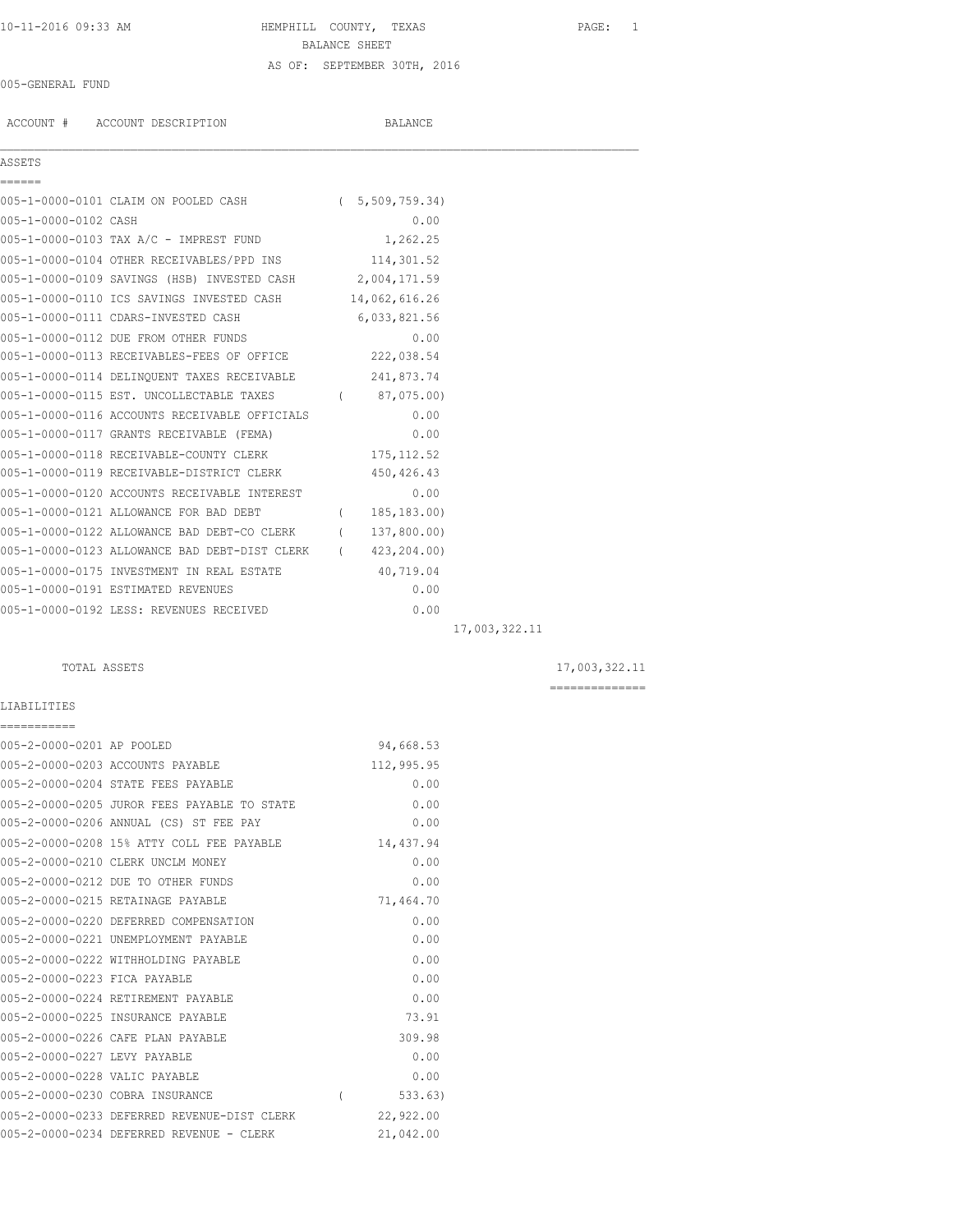## 10-11-2016 09:33 AM HEMPHILL COUNTY, TEXAS PAGE: 1 BALANCE SHEET AS OF: SEPTEMBER 30TH, 2016

#### 005-GENERAL FUND

ACCOUNT # ACCOUNT DESCRIPTION BALANCE

005-1-0000-0101 CLAIM ON POOLED CASH ( 5,509,759.34) 005-1-0000-0102 CASH 0.00 005-1-0000-0103 TAX A/C - IMPREST FUND 1,262.25 005-1-0000-0104 OTHER RECEIVABLES/PPD INS 114,301.52 005-1-0000-0109 SAVINGS (HSB) INVESTED CASH 2,004,171.59

005-1-0000-0110 ICS SAVINGS INVESTED CASH 14,062,616.26 005-1-0000-0111 CDARS-INVESTED CASH 6,033,821.56 005-1-0000-0112 DUE FROM OTHER FUNDS 0.00 005-1-0000-0113 RECEIVABLES-FEES OF OFFICE 222,038.54 005-1-0000-0114 DELINQUENT TAXES RECEIVABLE 241,873.74 005-1-0000-0115 EST. UNCOLLECTABLE TAXES (87,075.00) 005-1-0000-0116 ACCOUNTS RECEIVABLE OFFICIALS 0.00

 $\mathcal{L}_\mathcal{L} = \mathcal{L}_\mathcal{L}$ 

| 005-1-0000-0117 GRANTS RECEIVABLE (FEMA)      |          | 0.00         |
|-----------------------------------------------|----------|--------------|
| 005-1-0000-0118 RECEIVABLE-COUNTY CLERK       |          | 175, 112.52  |
| 005-1-0000-0119 RECEIVABLE-DISTRICT CLERK     |          | 450, 426.43  |
| 005-1-0000-0120 ACCOUNTS RECEIVABLE INTEREST  |          | 0.00         |
| 005-1-0000-0121 ALLOWANCE FOR BAD DEBT        |          | 185, 183.00) |
| 005-1-0000-0122 ALLOWANCE BAD DEBT-CO CLERK   | $\left($ | 137,800.00)  |
| 005-1-0000-0123 ALLOWANCE BAD DEBT-DIST CLERK |          | 423,204.00)  |
| 005-1-0000-0175 INVESTMENT IN REAL ESTATE     |          | 40,719.04    |
| 005-1-0000-0191 ESTIMATED REVENUES            |          | 0.00         |
| 005-1-0000-0192 LESS: REVENUES RECEIVED       |          | 0.00         |

LIABILITIES

===========

005-2-0000-0201 AP POOLED 94,668.53 005-2-0000-0203 ACCOUNTS PAYABLE 112,995.95 005-2-0000-0204 STATE FEES PAYABLE 0.00 005-2-0000-0205 JUROR FEES PAYABLE TO STATE 0.00 005-2-0000-0206 ANNUAL (CS) ST FEE PAY 0.00 005-2-0000-0208 15% ATTY COLL FEE PAYABLE 14,437.94 005-2-0000-0210 CLERK UNCLM MONEY 0.00 005-2-0000-0212 DUE TO OTHER FUNDS 0.00 005-2-0000-0215 RETAINAGE PAYABLE 71,464.70 005-2-0000-0220 DEFERRED COMPENSATION 0.00 005-2-0000-0221 UNEMPLOYMENT PAYABLE 0.00 005-2-0000-0222 WITHHOLDING PAYABLE 0.00 005-2-0000-0223 FICA PAYABLE 0.00 005-2-0000-0224 RETIREMENT PAYABLE 0.00 005-2-0000-0225 INSURANCE PAYABLE 73.91 005-2-0000-0226 CAFE PLAN PAYABLE

|                               | 005-2-0000-0226 CAFE PLAN PAYABLE           | 309.98    |
|-------------------------------|---------------------------------------------|-----------|
| 005-2-0000-0227 LEVY PAYABLE  |                                             | 0.00      |
| 005-2-0000-0228 VALIC PAYABLE |                                             | 0.00      |
|                               | 005-2-0000-0230 COBRA INSURANCE             | 533.63)   |
|                               | 005-2-0000-0233 DEFERRED REVENUE-DIST CLERK | 22,922.00 |
|                               | 005-2-0000-0234 DEFERRED REVENUE - CLERK    | 21,042.00 |

17,003,322.11

TOTAL ASSETS 17,003,322.11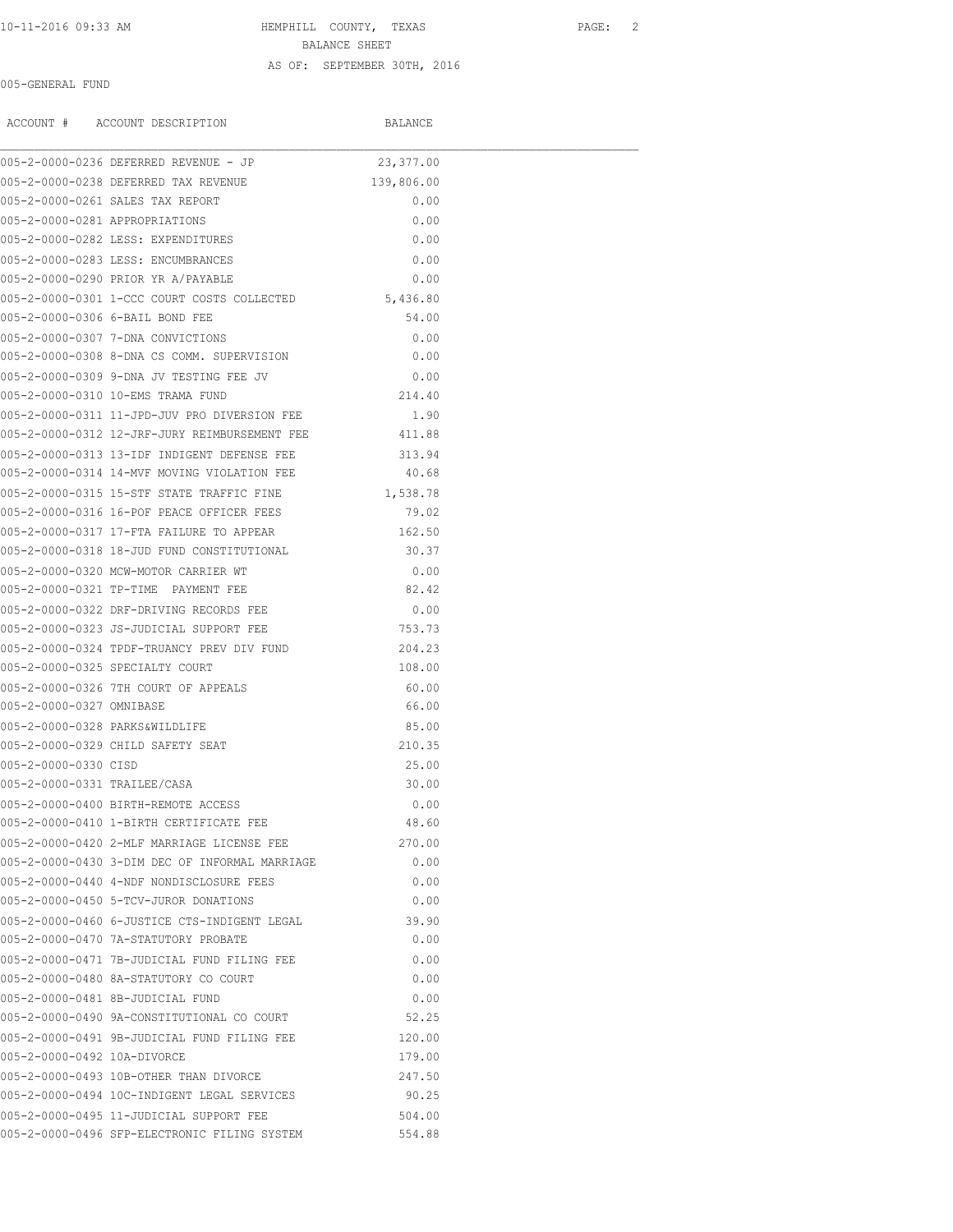10-11-2016 09:33 AM HEMPHILL COUNTY, TEXAS PAGE: 2 BALANCE SHEET

# AS OF: SEPTEMBER 30TH, 2016

#### 005-GENERAL FUND

|                                | ACCOUNT # ACCOUNT DESCRIPTION                        | BALANCE    |  |
|--------------------------------|------------------------------------------------------|------------|--|
|                                | 005-2-0000-0236 DEFERRED REVENUE - JP                | 23,377.00  |  |
|                                | 005-2-0000-0238 DEFERRED TAX REVENUE                 | 139,806.00 |  |
|                                | 005-2-0000-0261 SALES TAX REPORT                     | 0.00       |  |
| 005-2-0000-0281 APPROPRIATIONS |                                                      | 0.00       |  |
|                                | 005-2-0000-0282 LESS: EXPENDITURES                   | 0.00       |  |
|                                | 005-2-0000-0283 LESS: ENCUMBRANCES                   | 0.00       |  |
|                                | 005-2-0000-0290 PRIOR YR A/PAYABLE                   | 0.00       |  |
|                                | 005-2-0000-0301 1-CCC COURT COSTS COLLECTED 5,436.80 |            |  |
|                                | 005-2-0000-0306 6-BAIL BOND FEE                      | 54.00      |  |
|                                | 005-2-0000-0307 7-DNA CONVICTIONS                    | 0.00       |  |
|                                | 005-2-0000-0308 8-DNA CS COMM. SUPERVISION           | 0.00       |  |
|                                | 005-2-0000-0309 9-DNA JV TESTING FEE JV              | 0.00       |  |
|                                | 005-2-0000-0310 10-EMS TRAMA FUND                    | 214.40     |  |
|                                | 005-2-0000-0311 11-JPD-JUV PRO DIVERSION FEE         | 1.90       |  |
|                                | 005-2-0000-0312 12-JRF-JURY REIMBURSEMENT FEE        | 411.88     |  |
|                                | 005-2-0000-0313 13-IDF INDIGENT DEFENSE FEE          | 313.94     |  |
|                                | 005-2-0000-0314 14-MVF MOVING VIOLATION FEE          | 40.68      |  |
|                                | 005-2-0000-0315 15-STF STATE TRAFFIC FINE            | 1,538.78   |  |
|                                | 005-2-0000-0316 16-POF PEACE OFFICER FEES            | 79.02      |  |
|                                | 005-2-0000-0317 17-FTA FAILURE TO APPEAR             | 162.50     |  |
|                                | 005-2-0000-0318 18-JUD FUND CONSTITUTIONAL           | 30.37      |  |
|                                | 005-2-0000-0320 MCW-MOTOR CARRIER WT                 | 0.00       |  |
|                                | 005-2-0000-0321 TP-TIME  PAYMENT FEE                 | 82.42      |  |
|                                | 005-2-0000-0322 DRF-DRIVING RECORDS FEE              | 0.00       |  |
|                                | 005-2-0000-0323 JS-JUDICIAL SUPPORT FEE              | 753.73     |  |
|                                | 005-2-0000-0324 TPDF-TRUANCY PREV DIV FUND           | 204.23     |  |
|                                | 005-2-0000-0325 SPECIALTY COURT                      | 108.00     |  |
|                                | 005-2-0000-0326 7TH COURT OF APPEALS                 | 60.00      |  |
| 005-2-0000-0327 OMNIBASE       |                                                      | 66.00      |  |
| 005-2-0000-0328 PARKS&WILDLIFE |                                                      | 85.00      |  |
|                                | 005-2-0000-0329 CHILD SAFETY SEAT                    | 210.35     |  |
| 005-2-0000-0330 CISD           |                                                      | 25.00      |  |
| 005-2-0000-0331 TRAILEE/CASA   |                                                      | 30.00      |  |
|                                | 005-2-0000-0400 BIRTH-REMOTE ACCESS                  | 0.00       |  |
|                                | 005-2-0000-0410 1-BIRTH CERTIFICATE FEE              | 48.60      |  |
|                                | 005-2-0000-0420 2-MLF MARRIAGE LICENSE FEE           | 270.00     |  |
|                                | 005-2-0000-0430 3-DIM DEC OF INFORMAL MARRIAGE       | 0.00       |  |
|                                | 005-2-0000-0440 4-NDF NONDISCLOSURE FEES             | 0.00       |  |
|                                | 005-2-0000-0450 5-TCV-JUROR DONATIONS                | 0.00       |  |
|                                | 005-2-0000-0460 6-JUSTICE CTS-INDIGENT LEGAL         | 39.90      |  |
|                                | 005-2-0000-0470 7A-STATUTORY PROBATE                 | 0.00       |  |
|                                | 005-2-0000-0471 7B-JUDICIAL FUND FILING FEE          | 0.00       |  |
|                                | 005-2-0000-0480 8A-STATUTORY CO COURT                | 0.00       |  |
|                                | 005-2-0000-0481 8B-JUDICIAL FUND                     | 0.00       |  |
|                                | 005-2-0000-0490 9A-CONSTITUTIONAL CO COURT           | 52.25      |  |
|                                | 005-2-0000-0491 9B-JUDICIAL FUND FILING FEE          | 120.00     |  |
| 005-2-0000-0492 10A-DIVORCE    |                                                      | 179.00     |  |
|                                | 005-2-0000-0493 10B-OTHER THAN DIVORCE               | 247.50     |  |
|                                | 005-2-0000-0494 10C-INDIGENT LEGAL SERVICES          | 90.25      |  |

005-2-0000-0495 11-JUDICIAL SUPPORT FEE 504.00 005-2-0000-0496 SFP-ELECTRONIC FILING SYSTEM 554.88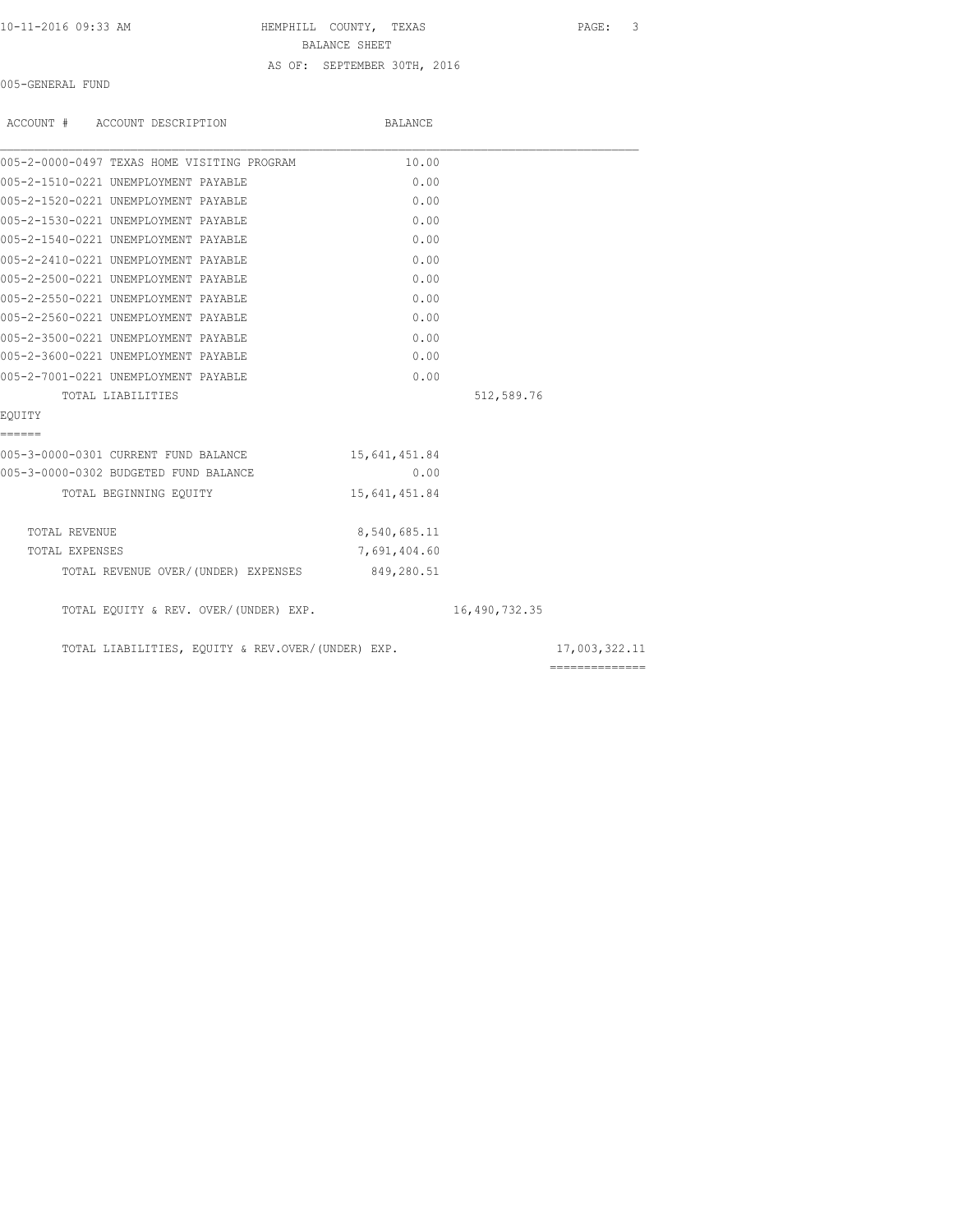10-11-2016 09:33 AM HEMPHILL COUNTY, TEXAS PAGE: 3 BALANCE SHEET AS OF: SEPTEMBER 30TH, 2016

005-GENERAL FUND

| ACCOUNT # ACCOUNT DESCRIPTION                     | BALANCE       |               |                 |
|---------------------------------------------------|---------------|---------------|-----------------|
| 005-2-0000-0497 TEXAS HOME VISITING PROGRAM       | 10.00         |               |                 |
| 005-2-1510-0221 UNEMPLOYMENT PAYABLE              | 0.00          |               |                 |
| 005-2-1520-0221 UNEMPLOYMENT PAYABLE              | 0.00          |               |                 |
| 005-2-1530-0221 UNEMPLOYMENT PAYABLE              | 0.00          |               |                 |
| 005-2-1540-0221 UNEMPLOYMENT PAYABLE              | 0.00          |               |                 |
| 005-2-2410-0221 UNEMPLOYMENT PAYABLE              | 0.00          |               |                 |
| 005-2-2500-0221 UNEMPLOYMENT PAYABLE              | 0.00          |               |                 |
| 005-2-2550-0221 UNEMPLOYMENT PAYABLE              | 0.00          |               |                 |
| 005-2-2560-0221 UNEMPLOYMENT PAYABLE              | 0.00          |               |                 |
| 005-2-3500-0221 UNEMPLOYMENT PAYABLE              | 0.00          |               |                 |
| 005-2-3600-0221 UNEMPLOYMENT PAYABLE              | 0.00          |               |                 |
| 005-2-7001-0221 UNEMPLOYMENT PAYABLE              | 0.00          |               |                 |
| TOTAL LIABILITIES                                 |               | 512,589.76    |                 |
| EOUITY                                            |               |               |                 |
| ======                                            |               |               |                 |
| 005-3-0000-0301 CURRENT FUND BALANCE              | 15,641,451.84 |               |                 |
| 005-3-0000-0302 BUDGETED FUND BALANCE             | 0.00          |               |                 |
| TOTAL BEGINNING EQUITY                            | 15,641,451.84 |               |                 |
| TOTAL REVENUE                                     | 8,540,685.11  |               |                 |
| TOTAL EXPENSES                                    | 7,691,404.60  |               |                 |
| TOTAL REVENUE OVER/(UNDER) EXPENSES 849,280.51    |               |               |                 |
| TOTAL EQUITY & REV. OVER/(UNDER) EXP.             |               | 16,490,732.35 |                 |
| TOTAL LIABILITIES, EQUITY & REV.OVER/(UNDER) EXP. |               |               | 17,003,322.11   |
|                                                   |               |               | --------------- |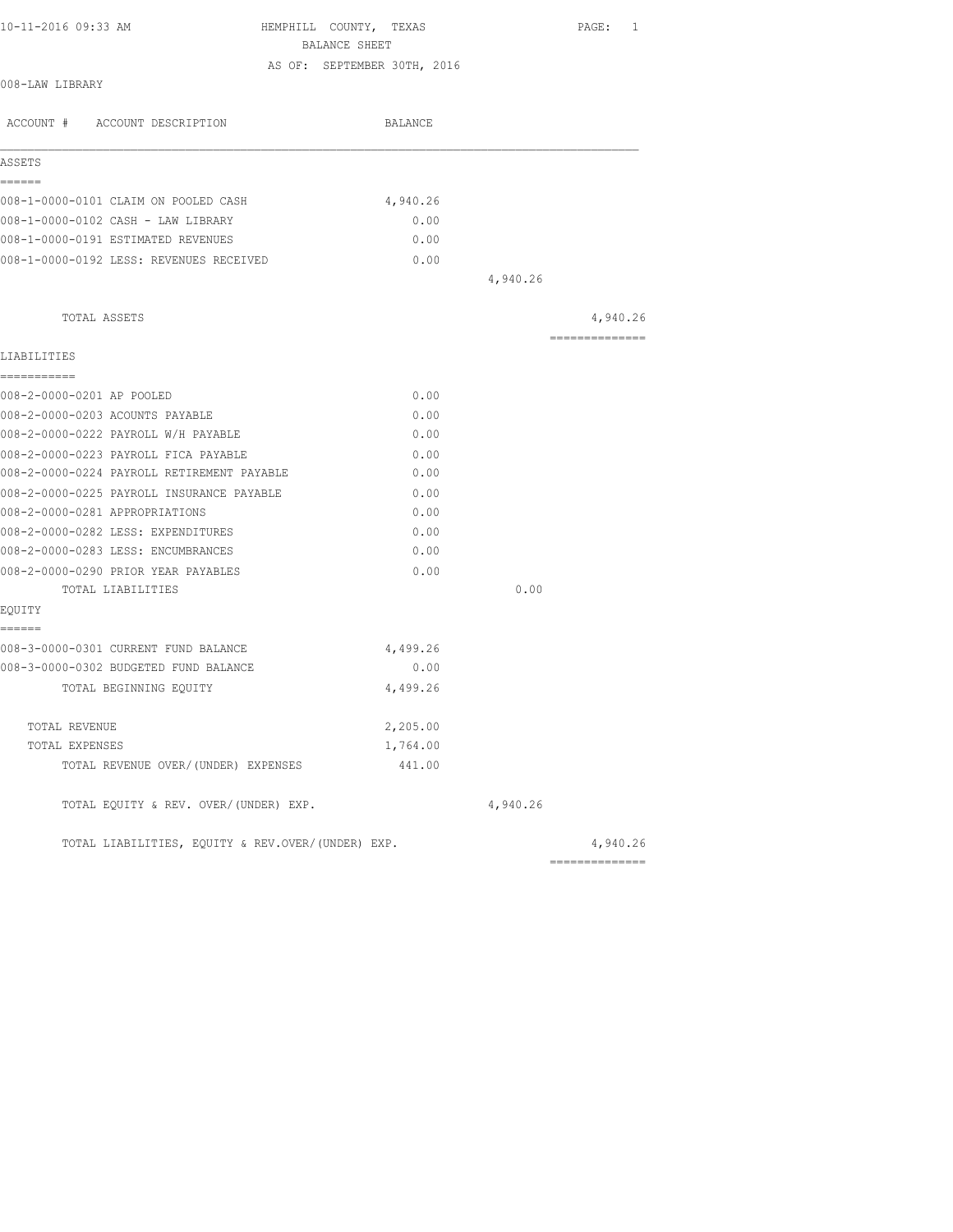| 10-11-2016 09:33 AM                               | HEMPHILL COUNTY, TEXAS                       |          | PAGE: 1        |
|---------------------------------------------------|----------------------------------------------|----------|----------------|
|                                                   | BALANCE SHEET<br>AS OF: SEPTEMBER 30TH, 2016 |          |                |
| 008-LAW LIBRARY                                   |                                              |          |                |
| ACCOUNT # ACCOUNT DESCRIPTION                     | BALANCE                                      |          |                |
| ASSETS                                            |                                              |          |                |
| ======<br>008-1-0000-0101 CLAIM ON POOLED CASH    | 4,940.26                                     |          |                |
| 008-1-0000-0102 CASH - LAW LIBRARY                | 0.00                                         |          |                |
| 008-1-0000-0191 ESTIMATED REVENUES                | 0.00                                         |          |                |
| 008-1-0000-0192 LESS: REVENUES RECEIVED           | 0.00                                         |          |                |
|                                                   |                                              | 4,940.26 |                |
| TOTAL ASSETS                                      |                                              |          | 4,940.26       |
| LIABILITIES                                       |                                              |          | -------------- |
| -----------                                       |                                              |          |                |
| 008-2-0000-0201 AP POOLED                         | 0.00                                         |          |                |
| 008-2-0000-0203 ACOUNTS PAYABLE                   | 0.00                                         |          |                |
| 008-2-0000-0222 PAYROLL W/H PAYABLE               | 0.00                                         |          |                |
| 008-2-0000-0223 PAYROLL FICA PAYABLE              | 0.00                                         |          |                |
| 008-2-0000-0224 PAYROLL RETIREMENT PAYABLE        | 0.00                                         |          |                |
| 008-2-0000-0225 PAYROLL INSURANCE PAYABLE         | 0.00                                         |          |                |
| 008-2-0000-0281 APPROPRIATIONS                    | 0.00                                         |          |                |
| 008-2-0000-0282 LESS: EXPENDITURES                | 0.00                                         |          |                |
| 008-2-0000-0283 LESS: ENCUMBRANCES                | 0.00                                         |          |                |
| 008-2-0000-0290 PRIOR YEAR PAYABLES               | 0.00                                         |          |                |
| TOTAL LIABILITIES                                 |                                              | 0.00     |                |
| EOUITY<br>------                                  |                                              |          |                |
| 008-3-0000-0301 CURRENT FUND BALANCE              | 4,499.26                                     |          |                |
| 008-3-0000-0302 BUDGETED FUND BALANCE             | 0.00                                         |          |                |
| TOTAL BEGINNING EOUITY                            | 4,499.26                                     |          |                |
| TOTAL REVENUE                                     | 2,205.00                                     |          |                |
| TOTAL EXPENSES                                    | 1,764.00                                     |          |                |
| TOTAL REVENUE OVER/(UNDER) EXPENSES               | 441.00                                       |          |                |
| TOTAL EQUITY & REV. OVER/(UNDER) EXP.             |                                              | 4,940.26 |                |
| TOTAL LIABILITIES, EOUITY & REV.OVER/(UNDER) EXP. |                                              |          | 4,940.26       |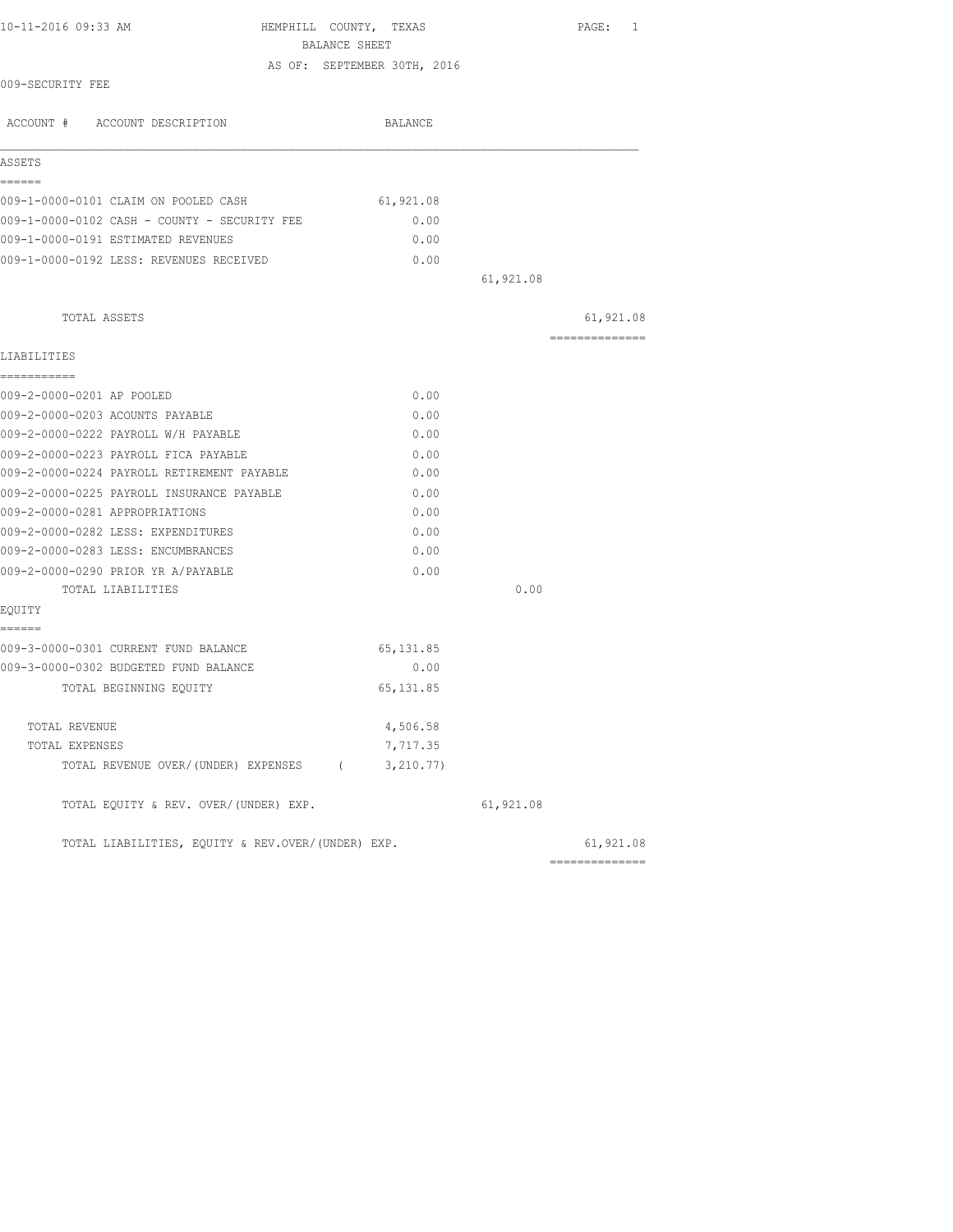| 10-11-2016 09:33 AM                               | HEMPHILL COUNTY, TEXAS<br>BALANCE SHEET |           | PAGE: 1                      |
|---------------------------------------------------|-----------------------------------------|-----------|------------------------------|
|                                                   | AS OF: SEPTEMBER 30TH, 2016             |           |                              |
| 009-SECURITY FEE                                  |                                         |           |                              |
| ACCOUNT # ACCOUNT DESCRIPTION                     | BALANCE                                 |           |                              |
| ASSETS                                            |                                         |           |                              |
| ======                                            |                                         |           |                              |
| 009-1-0000-0101 CLAIM ON POOLED CASH              | 61,921.08                               |           |                              |
| 009-1-0000-0102 CASH - COUNTY - SECURITY FEE      | 0.00                                    |           |                              |
| 009-1-0000-0191 ESTIMATED REVENUES                | 0.00                                    |           |                              |
| 009-1-0000-0192 LESS: REVENUES RECEIVED           | 0.00                                    |           |                              |
|                                                   |                                         | 61,921.08 |                              |
| TOTAL ASSETS                                      |                                         |           | 61,921.08                    |
| LIABILITIES                                       |                                         |           | --------------               |
| ===========                                       |                                         |           |                              |
| 009-2-0000-0201 AP POOLED                         | 0.00                                    |           |                              |
| 009-2-0000-0203 ACOUNTS PAYABLE                   | 0.00                                    |           |                              |
| 009-2-0000-0222 PAYROLL W/H PAYABLE               | 0.00                                    |           |                              |
| 009-2-0000-0223 PAYROLL FICA PAYABLE              | 0.00                                    |           |                              |
| 009-2-0000-0224 PAYROLL RETIREMENT PAYABLE        | 0.00                                    |           |                              |
| 009-2-0000-0225 PAYROLL INSURANCE PAYABLE         | 0.00                                    |           |                              |
| 009-2-0000-0281 APPROPRIATIONS                    | 0.00                                    |           |                              |
| 009-2-0000-0282 LESS: EXPENDITURES                | 0.00                                    |           |                              |
| 009-2-0000-0283 LESS: ENCUMBRANCES                | 0.00                                    |           |                              |
| 009-2-0000-0290 PRIOR YR A/PAYABLE                | 0.00                                    |           |                              |
| TOTAL LIABILITIES                                 |                                         | 0.00      |                              |
| EQUITY<br>======                                  |                                         |           |                              |
| 009-3-0000-0301 CURRENT FUND BALANCE              | 65, 131.85                              |           |                              |
| 009-3-0000-0302 BUDGETED FUND BALANCE             | 0.00                                    |           |                              |
| TOTAL BEGINNING EQUITY                            | 65, 131.85                              |           |                              |
| TOTAL REVENUE                                     | 4,506.58                                |           |                              |
| TOTAL EXPENSES                                    | 7,717.35                                |           |                              |
| TOTAL REVENUE OVER/(UNDER) EXPENSES (             | 3, 210.77)                              |           |                              |
| TOTAL EQUITY & REV. OVER/(UNDER) EXP.             |                                         | 61,921.08 |                              |
| TOTAL LIABILITIES, EQUITY & REV.OVER/(UNDER) EXP. |                                         |           | 61,921.08<br>--------------- |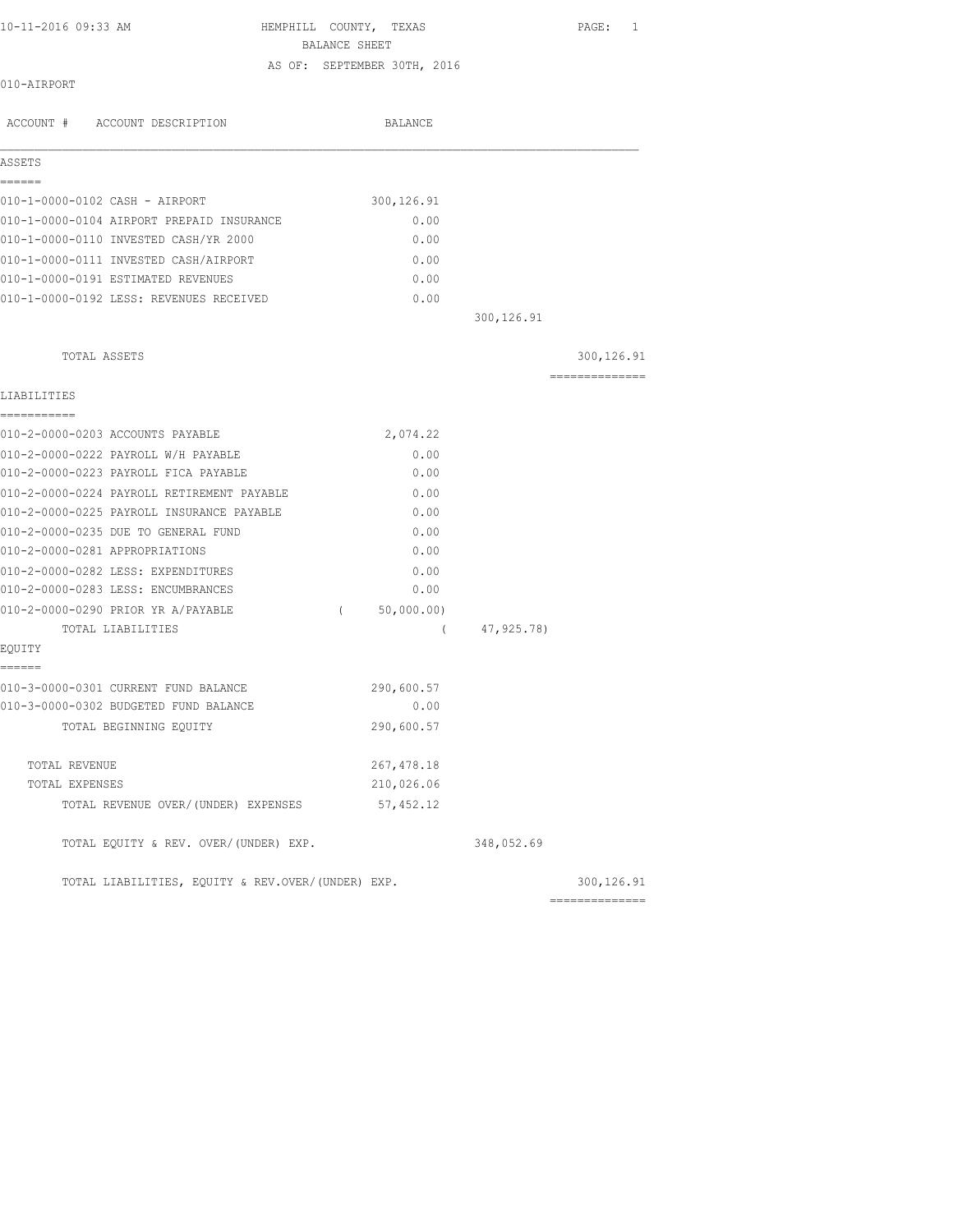HEMPHILL COUNTY, TEXAS PAGE: 1

BALANCE SHEET

### AS OF: SEPTEMBER 30TH, 2016

| 010-AIRPORT |  |
|-------------|--|
|-------------|--|

| ACCOUNT # ACCOUNT DESCRIPTION                                                           | BALANCE                |             |                                                                                                                                                                                                                                                                                                                                                                                                                                                                                        |
|-----------------------------------------------------------------------------------------|------------------------|-------------|----------------------------------------------------------------------------------------------------------------------------------------------------------------------------------------------------------------------------------------------------------------------------------------------------------------------------------------------------------------------------------------------------------------------------------------------------------------------------------------|
| ASSETS                                                                                  |                        |             |                                                                                                                                                                                                                                                                                                                                                                                                                                                                                        |
| ======                                                                                  |                        |             |                                                                                                                                                                                                                                                                                                                                                                                                                                                                                        |
| 010-1-0000-0102 CASH - AIRPORT                                                          | 300, 126.91            |             |                                                                                                                                                                                                                                                                                                                                                                                                                                                                                        |
| 010-1-0000-0104 AIRPORT PREPAID INSURANCE                                               | 0.00                   |             |                                                                                                                                                                                                                                                                                                                                                                                                                                                                                        |
| 010-1-0000-0110 INVESTED CASH/YR 2000                                                   | 0.00                   |             |                                                                                                                                                                                                                                                                                                                                                                                                                                                                                        |
| 010-1-0000-0111 INVESTED CASH/AIRPORT<br>010-1-0000-0191 ESTIMATED REVENUES             | 0.00<br>0.00           |             |                                                                                                                                                                                                                                                                                                                                                                                                                                                                                        |
|                                                                                         |                        |             |                                                                                                                                                                                                                                                                                                                                                                                                                                                                                        |
| 010-1-0000-0192 LESS: REVENUES RECEIVED                                                 | 0.00                   | 300, 126.91 |                                                                                                                                                                                                                                                                                                                                                                                                                                                                                        |
| TOTAL ASSETS                                                                            |                        |             | 300, 126.91                                                                                                                                                                                                                                                                                                                                                                                                                                                                            |
|                                                                                         |                        |             | ==============                                                                                                                                                                                                                                                                                                                                                                                                                                                                         |
| LIABILITIES                                                                             |                        |             |                                                                                                                                                                                                                                                                                                                                                                                                                                                                                        |
| ===========                                                                             |                        |             |                                                                                                                                                                                                                                                                                                                                                                                                                                                                                        |
| 010-2-0000-0203 ACCOUNTS PAYABLE                                                        | 2,074.22               |             |                                                                                                                                                                                                                                                                                                                                                                                                                                                                                        |
| 010-2-0000-0222 PAYROLL W/H PAYABLE                                                     | 0.00                   |             |                                                                                                                                                                                                                                                                                                                                                                                                                                                                                        |
| 010-2-0000-0223 PAYROLL FICA PAYABLE                                                    | 0.00                   |             |                                                                                                                                                                                                                                                                                                                                                                                                                                                                                        |
| 010-2-0000-0224 PAYROLL RETIREMENT PAYABLE<br>010-2-0000-0225 PAYROLL INSURANCE PAYABLE | 0.00<br>0.00           |             |                                                                                                                                                                                                                                                                                                                                                                                                                                                                                        |
|                                                                                         |                        |             |                                                                                                                                                                                                                                                                                                                                                                                                                                                                                        |
| 010-2-0000-0235 DUE TO GENERAL FUND<br>010-2-0000-0281 APPROPRIATIONS                   | 0.00<br>0.00           |             |                                                                                                                                                                                                                                                                                                                                                                                                                                                                                        |
| 010-2-0000-0282 LESS: EXPENDITURES                                                      | 0.00                   |             |                                                                                                                                                                                                                                                                                                                                                                                                                                                                                        |
| 010-2-0000-0283 LESS: ENCUMBRANCES                                                      | 0.00                   |             |                                                                                                                                                                                                                                                                                                                                                                                                                                                                                        |
| 010-2-0000-0290 PRIOR YR A/PAYABLE                                                      | 50,000.00)<br>$\left($ |             |                                                                                                                                                                                                                                                                                                                                                                                                                                                                                        |
| TOTAL LIABILITIES                                                                       | $\left($               | 47,925.78)  |                                                                                                                                                                                                                                                                                                                                                                                                                                                                                        |
| EQUITY                                                                                  |                        |             |                                                                                                                                                                                                                                                                                                                                                                                                                                                                                        |
| ------<br>010-3-0000-0301 CURRENT FUND BALANCE                                          | 290,600.57             |             |                                                                                                                                                                                                                                                                                                                                                                                                                                                                                        |
| 010-3-0000-0302 BUDGETED FUND BALANCE                                                   | 0.00                   |             |                                                                                                                                                                                                                                                                                                                                                                                                                                                                                        |
| TOTAL BEGINNING EOUITY                                                                  | 290,600.57             |             |                                                                                                                                                                                                                                                                                                                                                                                                                                                                                        |
| TOTAL REVENUE                                                                           | 267, 478.18            |             |                                                                                                                                                                                                                                                                                                                                                                                                                                                                                        |
| TOTAL EXPENSES                                                                          | 210,026.06             |             |                                                                                                                                                                                                                                                                                                                                                                                                                                                                                        |
| TOTAL REVENUE OVER/(UNDER) EXPENSES                                                     | 57,452.12              |             |                                                                                                                                                                                                                                                                                                                                                                                                                                                                                        |
| TOTAL EQUITY & REV. OVER/(UNDER) EXP.                                                   |                        | 348,052.69  |                                                                                                                                                                                                                                                                                                                                                                                                                                                                                        |
| TOTAL LIABILITIES, EQUITY & REV.OVER/(UNDER) EXP.                                       |                        |             | 300,126.91                                                                                                                                                                                                                                                                                                                                                                                                                                                                             |
|                                                                                         |                        |             | $\begin{array}{cccccccccc} \multicolumn{2}{c}{} & \multicolumn{2}{c}{} & \multicolumn{2}{c}{} & \multicolumn{2}{c}{} & \multicolumn{2}{c}{} & \multicolumn{2}{c}{} & \multicolumn{2}{c}{} & \multicolumn{2}{c}{} & \multicolumn{2}{c}{} & \multicolumn{2}{c}{} & \multicolumn{2}{c}{} & \multicolumn{2}{c}{} & \multicolumn{2}{c}{} & \multicolumn{2}{c}{} & \multicolumn{2}{c}{} & \multicolumn{2}{c}{} & \multicolumn{2}{c}{} & \multicolumn{2}{c}{} & \multicolumn{2}{c}{} & \mult$ |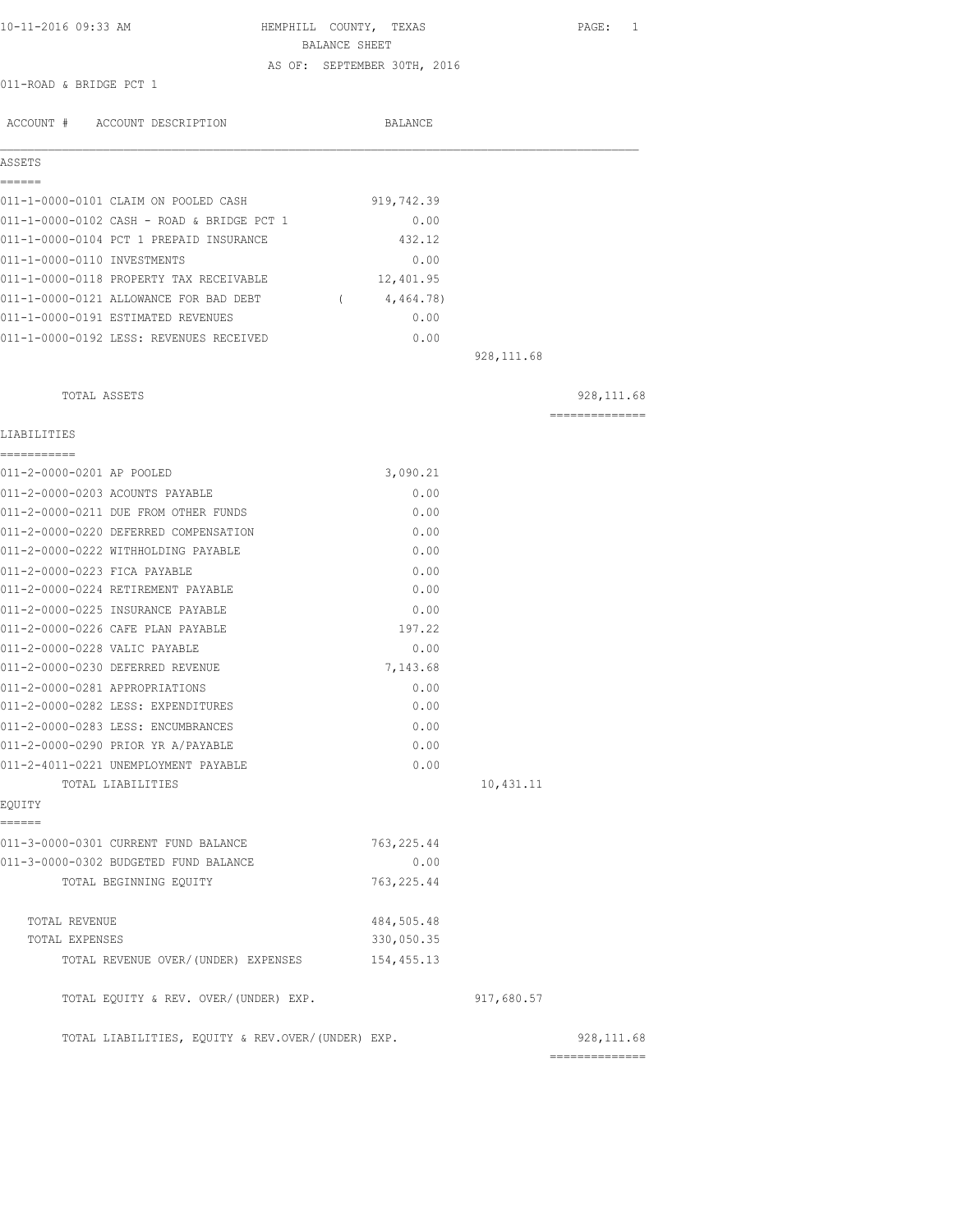| 10-11-2016 09:33 AM     | HEMPHILL COUNTY, TEXAS      |  | PAGE: 1 |  |
|-------------------------|-----------------------------|--|---------|--|
|                         | BALANCE SHEET               |  |         |  |
|                         | AS OF: SEPTEMBER 30TH, 2016 |  |         |  |
| 011-ROAD & BRIDGE PCT 1 |                             |  |         |  |

| ACCOUNT # ACCOUNT DESCRIPTION              | <b>BALANCE</b> |  |
|--------------------------------------------|----------------|--|
| ASSETS                                     |                |  |
|                                            |                |  |
| 011-1-0000-0101 CLAIM ON POOLED CASH       | 919,742.39     |  |
| 011-1-0000-0102 CASH - ROAD & BRIDGE PCT 1 | 0.00           |  |
| 011-1-0000-0104 PCT 1 PREPAID INSURANCE    | 432.12         |  |
| 011-1-0000-0110 INVESTMENTS                | 0.00           |  |
| 011-1-0000-0118 PROPERTY TAX RECEIVABLE    | 12,401.95      |  |
| 011-1-0000-0121 ALLOWANCE FOR BAD DEBT     | 4,464.78)      |  |
| 011-1-0000-0191 ESTIMATED REVENUES         | 0.00           |  |
| 011-1-0000-0192 LESS: REVENUES RECEIVED    | 0.00           |  |
|                                            | 928, 111.68    |  |

| TOTAL ASSETS                                      |             |            | 928, 111.68     |
|---------------------------------------------------|-------------|------------|-----------------|
| LIABILITIES<br>-----------                        |             |            | --------------- |
| 011-2-0000-0201 AP POOLED                         | 3,090.21    |            |                 |
| 011-2-0000-0203 ACOUNTS PAYABLE                   | 0.00        |            |                 |
| 011-2-0000-0211 DUE FROM OTHER FUNDS              | 0.00        |            |                 |
| 011-2-0000-0220 DEFERRED COMPENSATION             | 0.00        |            |                 |
| 011-2-0000-0222 WITHHOLDING PAYABLE               | 0.00        |            |                 |
| 011-2-0000-0223 FICA PAYABLE                      | 0.00        |            |                 |
| 011-2-0000-0224 RETIREMENT PAYABLE                | 0.00        |            |                 |
| 011-2-0000-0225 INSURANCE PAYABLE                 | 0.00        |            |                 |
| 011-2-0000-0226 CAFE PLAN PAYABLE                 | 197.22      |            |                 |
| 011-2-0000-0228 VALIC PAYABLE                     | 0.00        |            |                 |
| 011-2-0000-0230 DEFERRED REVENUE                  | 7,143.68    |            |                 |
| 011-2-0000-0281 APPROPRIATIONS                    | 0.00        |            |                 |
| 011-2-0000-0282 LESS: EXPENDITURES                | 0.00        |            |                 |
| 011-2-0000-0283 LESS: ENCUMBRANCES                | 0.00        |            |                 |
| 011-2-0000-0290 PRIOR YR A/PAYABLE                | 0.00        |            |                 |
| 011-2-4011-0221 UNEMPLOYMENT PAYABLE              | 0.00        |            |                 |
| TOTAL LIABILITIES                                 |             | 10,431.11  |                 |
| EOUITY                                            |             |            |                 |
| ======                                            |             |            |                 |
| 011-3-0000-0301 CURRENT FUND BALANCE              | 763, 225.44 |            |                 |
| 011-3-0000-0302 BUDGETED FUND BALANCE             | 0.00        |            |                 |
| TOTAL BEGINNING EQUITY                            | 763, 225.44 |            |                 |
| TOTAL REVENUE                                     | 484,505.48  |            |                 |
| TOTAL EXPENSES                                    | 330,050.35  |            |                 |
| TOTAL REVENUE OVER/(UNDER) EXPENSES               | 154,455.13  |            |                 |
| TOTAL EQUITY & REV. OVER/(UNDER) EXP.             |             | 917,680.57 |                 |
| TOTAL LIABILITIES, EQUITY & REV.OVER/(UNDER) EXP. |             |            | 928, 111.68     |
|                                                   |             |            | ==============  |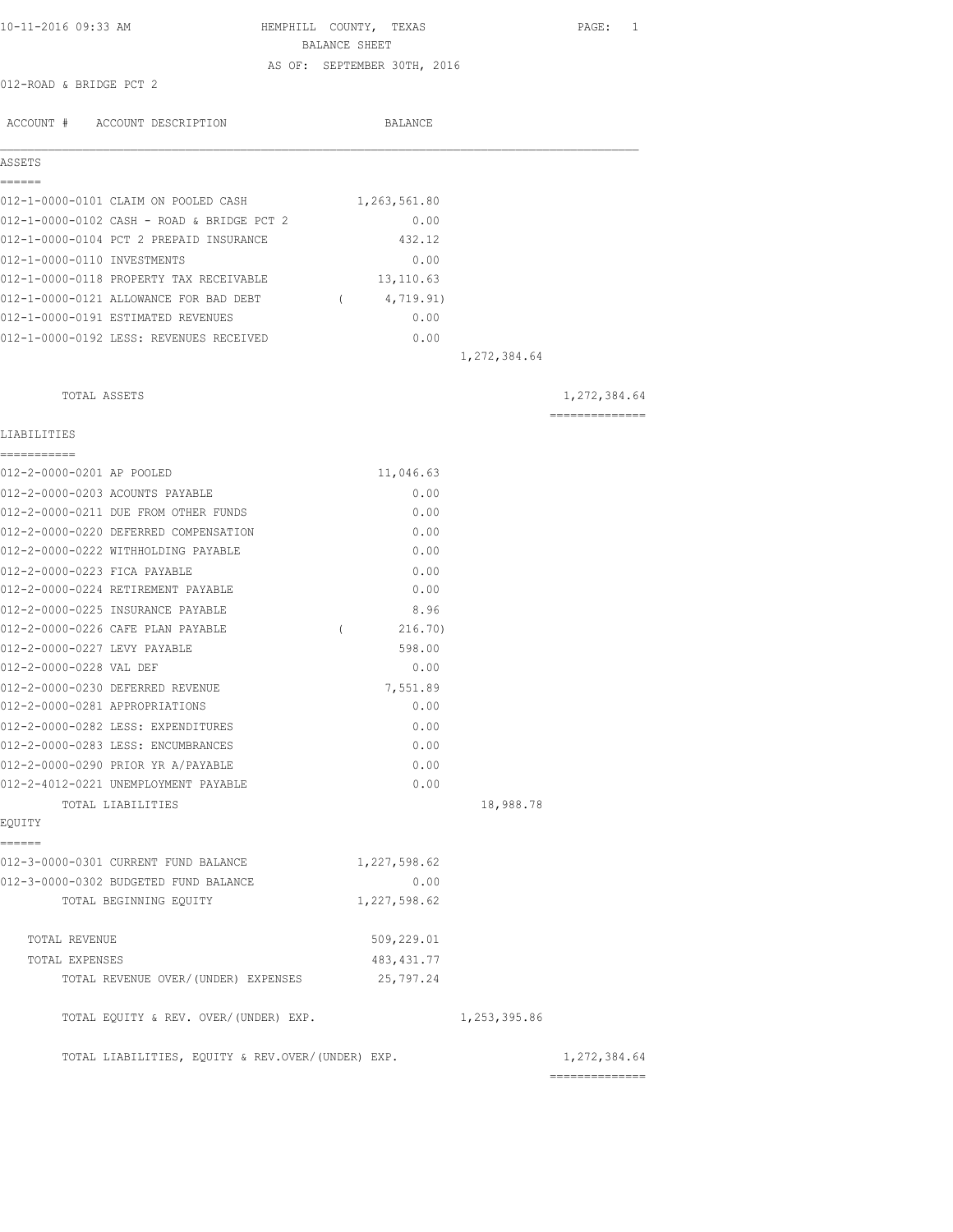| 10-11-2016 09:33 AM                               |               |          | HEMPHILL COUNTY, TEXAS      |              | PAGE: 1        |
|---------------------------------------------------|---------------|----------|-----------------------------|--------------|----------------|
|                                                   | BALANCE SHEET |          |                             |              |                |
|                                                   |               |          | AS OF: SEPTEMBER 30TH, 2016 |              |                |
| 012-ROAD & BRIDGE PCT 2                           |               |          |                             |              |                |
|                                                   |               |          | BALANCE                     |              |                |
| ACCOUNT # ACCOUNT DESCRIPTION                     |               |          |                             |              |                |
| ASSETS                                            |               |          |                             |              |                |
| ======<br>012-1-0000-0101 CLAIM ON POOLED CASH    |               |          | 1,263,561.80                |              |                |
| 012-1-0000-0102 CASH - ROAD & BRIDGE PCT 2        |               |          | 0.00                        |              |                |
| 012-1-0000-0104 PCT 2 PREPAID INSURANCE           |               |          | 432.12                      |              |                |
| 012-1-0000-0110 INVESTMENTS                       |               |          | 0.00                        |              |                |
| 012-1-0000-0118 PROPERTY TAX RECEIVABLE           |               |          | 13,110.63                   |              |                |
| 012-1-0000-0121 ALLOWANCE FOR BAD DEBT            |               | $\left($ | 4,719.91)                   |              |                |
| 012-1-0000-0191 ESTIMATED REVENUES                |               |          | 0.00                        |              |                |
| 012-1-0000-0192 LESS: REVENUES RECEIVED           |               |          | 0.00                        |              |                |
|                                                   |               |          |                             | 1,272,384.64 |                |
|                                                   |               |          |                             |              |                |
| TOTAL ASSETS                                      |               |          |                             |              | 1,272,384.64   |
| LIABILITIES                                       |               |          |                             |              | ============== |
|                                                   |               |          |                             |              |                |
| 012-2-0000-0201 AP POOLED                         |               |          | 11,046.63                   |              |                |
| 012-2-0000-0203 ACOUNTS PAYABLE                   |               |          | 0.00                        |              |                |
| 012-2-0000-0211 DUE FROM OTHER FUNDS              |               |          | 0.00                        |              |                |
| 012-2-0000-0220 DEFERRED COMPENSATION             |               |          | 0.00                        |              |                |
| 012-2-0000-0222 WITHHOLDING PAYABLE               |               |          | 0.00                        |              |                |
| 012-2-0000-0223 FICA PAYABLE                      |               |          | 0.00                        |              |                |
| 012-2-0000-0224 RETIREMENT PAYABLE                |               |          | 0.00                        |              |                |
| 012-2-0000-0225 INSURANCE PAYABLE                 |               |          | 8.96                        |              |                |
| 012-2-0000-0226 CAFE PLAN PAYABLE                 | <sup>-</sup>  |          | 216.70)                     |              |                |
| 012-2-0000-0227 LEVY PAYABLE                      |               |          | 598.00                      |              |                |
| 012-2-0000-0228 VAL DEF                           |               |          | 0.00                        |              |                |
| 012-2-0000-0230 DEFERRED REVENUE                  |               |          | 7,551.89                    |              |                |
| 012-2-0000-0281 APPROPRIATIONS                    |               |          | 0.00                        |              |                |
| 012-2-0000-0282 LESS: EXPENDITURES                |               |          | 0.00                        |              |                |
| 012-2-0000-0283 LESS: ENCUMBRANCES                |               |          | 0.00                        |              |                |
| 012-2-0000-0290 PRIOR YR A/PAYABLE                |               |          | 0.00                        |              |                |
| 012-2-4012-0221 UNEMPLOYMENT PAYABLE              |               |          | 0.00                        |              |                |
| TOTAL LIABILITIES                                 |               |          |                             | 18,988.78    |                |
| EQUITY                                            |               |          |                             |              |                |
| ======<br>012-3-0000-0301 CURRENT FUND BALANCE    |               |          | 1,227,598.62                |              |                |
| 012-3-0000-0302 BUDGETED FUND BALANCE             |               |          | 0.00                        |              |                |
| TOTAL BEGINNING EOUITY                            |               |          | 1,227,598.62                |              |                |
|                                                   |               |          |                             |              |                |
| TOTAL REVENUE                                     |               |          | 509,229.01                  |              |                |
| TOTAL EXPENSES                                    |               |          | 483, 431.77                 |              |                |
| TOTAL REVENUE OVER/(UNDER) EXPENSES               |               |          | 25,797.24                   |              |                |
| TOTAL EQUITY & REV. OVER/(UNDER) EXP.             |               |          |                             | 1,253,395.86 |                |
| TOTAL LIABILITIES, EQUITY & REV.OVER/(UNDER) EXP. |               |          |                             |              | 1,272,384.64   |
|                                                   |               |          |                             |              |                |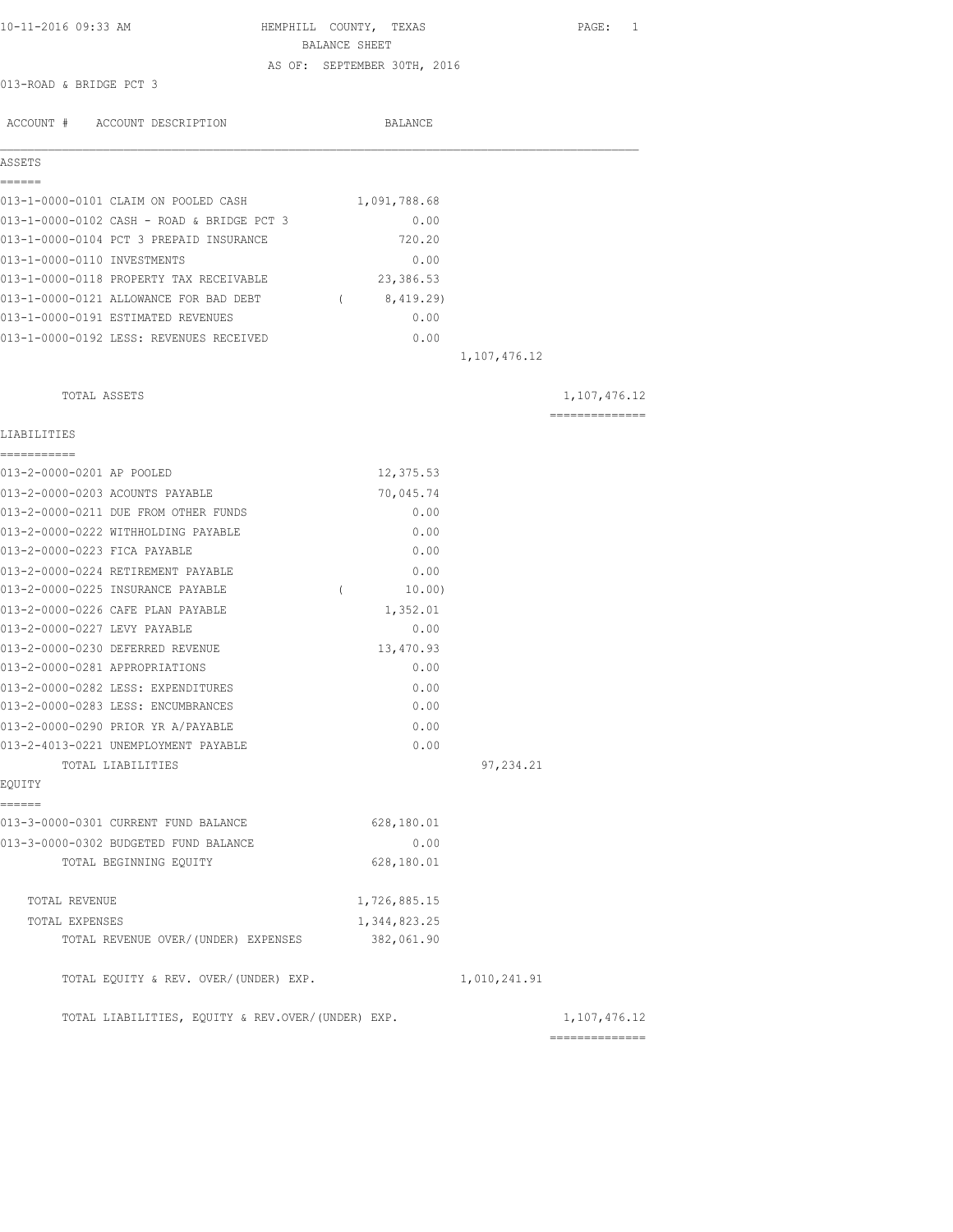| 10-11-2016 09:33 AM                               | HEMPHILL COUNTY, TEXAS<br>BALANCE SHEET |                | PAGE: 1        |
|---------------------------------------------------|-----------------------------------------|----------------|----------------|
|                                                   | AS OF: SEPTEMBER 30TH, 2016             |                |                |
| 013-ROAD & BRIDGE PCT 3                           |                                         |                |                |
|                                                   |                                         |                |                |
| ACCOUNT # ACCOUNT DESCRIPTION                     | BALANCE                                 |                |                |
| ASSETS                                            |                                         |                |                |
| ======                                            |                                         |                |                |
| 013-1-0000-0101 CLAIM ON POOLED CASH              | 1,091,788.68                            |                |                |
| 013-1-0000-0102 CASH - ROAD & BRIDGE PCT 3        | 0.00                                    |                |                |
| 013-1-0000-0104 PCT 3 PREPAID INSURANCE           | 720.20                                  |                |                |
| 013-1-0000-0110 INVESTMENTS                       | 0.00                                    |                |                |
| 013-1-0000-0118 PROPERTY TAX RECEIVABLE           | 23,386.53                               |                |                |
| 013-1-0000-0121 ALLOWANCE FOR BAD DEBT            | 8,419.29)<br>$\sqrt{2}$                 |                |                |
| 013-1-0000-0191 ESTIMATED REVENUES                | 0.00                                    |                |                |
| 013-1-0000-0192 LESS: REVENUES RECEIVED           | 0.00                                    |                |                |
|                                                   |                                         | 1, 107, 476.12 |                |
| TOTAL ASSETS                                      |                                         |                | 1,107,476.12   |
| LIABILITIES                                       |                                         |                | ============== |
| -----------<br>013-2-0000-0201 AP POOLED          | 12,375.53                               |                |                |
| 013-2-0000-0203 ACOUNTS PAYABLE                   | 70,045.74                               |                |                |
| 013-2-0000-0211 DUE FROM OTHER FUNDS              | 0.00                                    |                |                |
| 013-2-0000-0222 WITHHOLDING PAYABLE               | 0.00                                    |                |                |
| 013-2-0000-0223 FICA PAYABLE                      | 0.00                                    |                |                |
| 013-2-0000-0224 RETIREMENT PAYABLE                | 0.00                                    |                |                |
| 013-2-0000-0225 INSURANCE PAYABLE                 | $\left($<br>10.00)                      |                |                |
| 013-2-0000-0226 CAFE PLAN PAYABLE                 | 1,352.01                                |                |                |
| 013-2-0000-0227 LEVY PAYABLE                      | 0.00                                    |                |                |
| 013-2-0000-0230 DEFERRED REVENUE                  | 13,470.93                               |                |                |
| 013-2-0000-0281 APPROPRIATIONS                    | 0.00                                    |                |                |
| 013-2-0000-0282 LESS: EXPENDITURES                | 0.00                                    |                |                |
| 013-2-0000-0283 LESS: ENCUMBRANCES                | 0.00                                    |                |                |
| 013-2-0000-0290 PRIOR YR A/PAYABLE                | 0.00                                    |                |                |
| 013-2-4013-0221 UNEMPLOYMENT PAYABLE              | 0.00                                    |                |                |
| TOTAL LIABILITIES                                 |                                         | 97, 234.21     |                |
| EOUITY                                            |                                         |                |                |
| ======                                            |                                         |                |                |
| 013-3-0000-0301 CURRENT FUND BALANCE              | 628,180.01                              |                |                |
| 013-3-0000-0302 BUDGETED FUND BALANCE             | 0.00                                    |                |                |
| TOTAL BEGINNING EQUITY                            | 628,180.01                              |                |                |
| TOTAL REVENUE                                     | 1,726,885.15                            |                |                |
| TOTAL EXPENSES                                    | 1,344,823.25                            |                |                |
| TOTAL REVENUE OVER/(UNDER) EXPENSES               | 382,061.90                              |                |                |
| TOTAL EQUITY & REV. OVER/(UNDER) EXP.             |                                         | 1,010,241.91   |                |
| TOTAL LIABILITIES, EQUITY & REV.OVER/(UNDER) EXP. |                                         |                | 1, 107, 476.12 |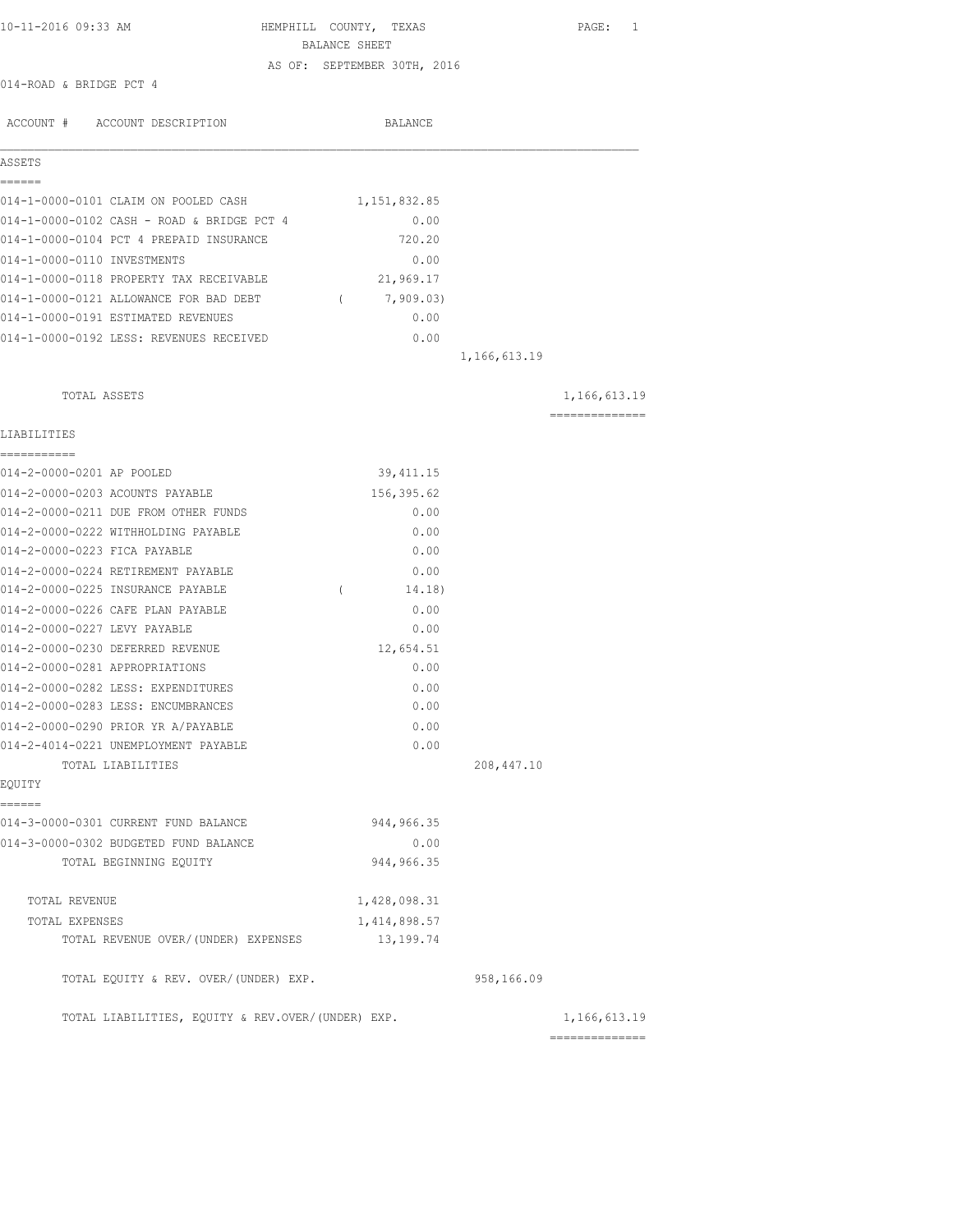| 10-11-2016 09:33 AM                               | HEMPHILL COUNTY, TEXAS      | PAGE: 1         |
|---------------------------------------------------|-----------------------------|-----------------|
|                                                   | BALANCE SHEET               |                 |
| 014-ROAD & BRIDGE PCT 4                           | AS OF: SEPTEMBER 30TH, 2016 |                 |
|                                                   |                             |                 |
| ACCOUNT # ACCOUNT DESCRIPTION                     | BALANCE                     |                 |
| ASSETS                                            |                             |                 |
| ======                                            |                             |                 |
| 014-1-0000-0101 CLAIM ON POOLED CASH              | 1,151,832.85                |                 |
| 014-1-0000-0102 CASH - ROAD & BRIDGE PCT 4        | 0.00                        |                 |
| 014-1-0000-0104 PCT 4 PREPAID INSURANCE           | 720.20                      |                 |
| 014-1-0000-0110 INVESTMENTS                       | 0.00                        |                 |
| 014-1-0000-0118 PROPERTY TAX RECEIVABLE           | 21,969.17                   |                 |
| 014-1-0000-0121 ALLOWANCE FOR BAD DEBT            | 7,909.03)<br>$\sqrt{2}$     |                 |
| 014-1-0000-0191 ESTIMATED REVENUES                | 0.00                        |                 |
| 014-1-0000-0192 LESS: REVENUES RECEIVED           | 0.00                        |                 |
|                                                   |                             | 1,166,613.19    |
| TOTAL ASSETS                                      |                             | 1,166,613.19    |
| LIABILITIES                                       |                             | --------------- |
| ------------<br>014-2-0000-0201 AP POOLED         | 39, 411.15                  |                 |
| 014-2-0000-0203 ACOUNTS PAYABLE                   | 156,395.62                  |                 |
| 014-2-0000-0211 DUE FROM OTHER FUNDS              | 0.00                        |                 |
| 014-2-0000-0222 WITHHOLDING PAYABLE               | 0.00                        |                 |
| 014-2-0000-0223 FICA PAYABLE                      | 0.00                        |                 |
| 014-2-0000-0224 RETIREMENT PAYABLE                | 0.00                        |                 |
| 014-2-0000-0225 INSURANCE PAYABLE                 | $\left($<br>14.18)          |                 |
| 014-2-0000-0226 CAFE PLAN PAYABLE                 | 0.00                        |                 |
| 014-2-0000-0227 LEVY PAYABLE                      | 0.00                        |                 |
| 014-2-0000-0230 DEFERRED REVENUE                  | 12,654.51                   |                 |
| 014-2-0000-0281 APPROPRIATIONS                    | 0.00                        |                 |
| 014-2-0000-0282 LESS: EXPENDITURES                | 0.00                        |                 |
| 014-2-0000-0283 LESS: ENCUMBRANCES                | 0.00                        |                 |
| 014-2-0000-0290 PRIOR YR A/PAYABLE                | 0.00                        |                 |
| 014-2-4014-0221 UNEMPLOYMENT PAYABLE              | 0.00                        |                 |
| TOTAL LIABILITIES                                 |                             | 208,447.10      |
| EQUITY                                            |                             |                 |
| ------                                            |                             |                 |
| 014-3-0000-0301 CURRENT FUND BALANCE              | 944, 966.35                 |                 |
| 014-3-0000-0302 BUDGETED FUND BALANCE             | 0.00<br>944, 966.35         |                 |
| TOTAL BEGINNING EQUITY                            |                             |                 |
| TOTAL REVENUE                                     | 1,428,098.31                |                 |
| TOTAL EXPENSES                                    | 1,414,898.57                |                 |
| TOTAL REVENUE OVER/(UNDER) EXPENSES               | 13,199.74                   |                 |
| TOTAL EQUITY & REV. OVER/(UNDER) EXP.             |                             | 958,166.09      |
| TOTAL LIABILITIES, EQUITY & REV.OVER/(UNDER) EXP. |                             | 1,166,613.19    |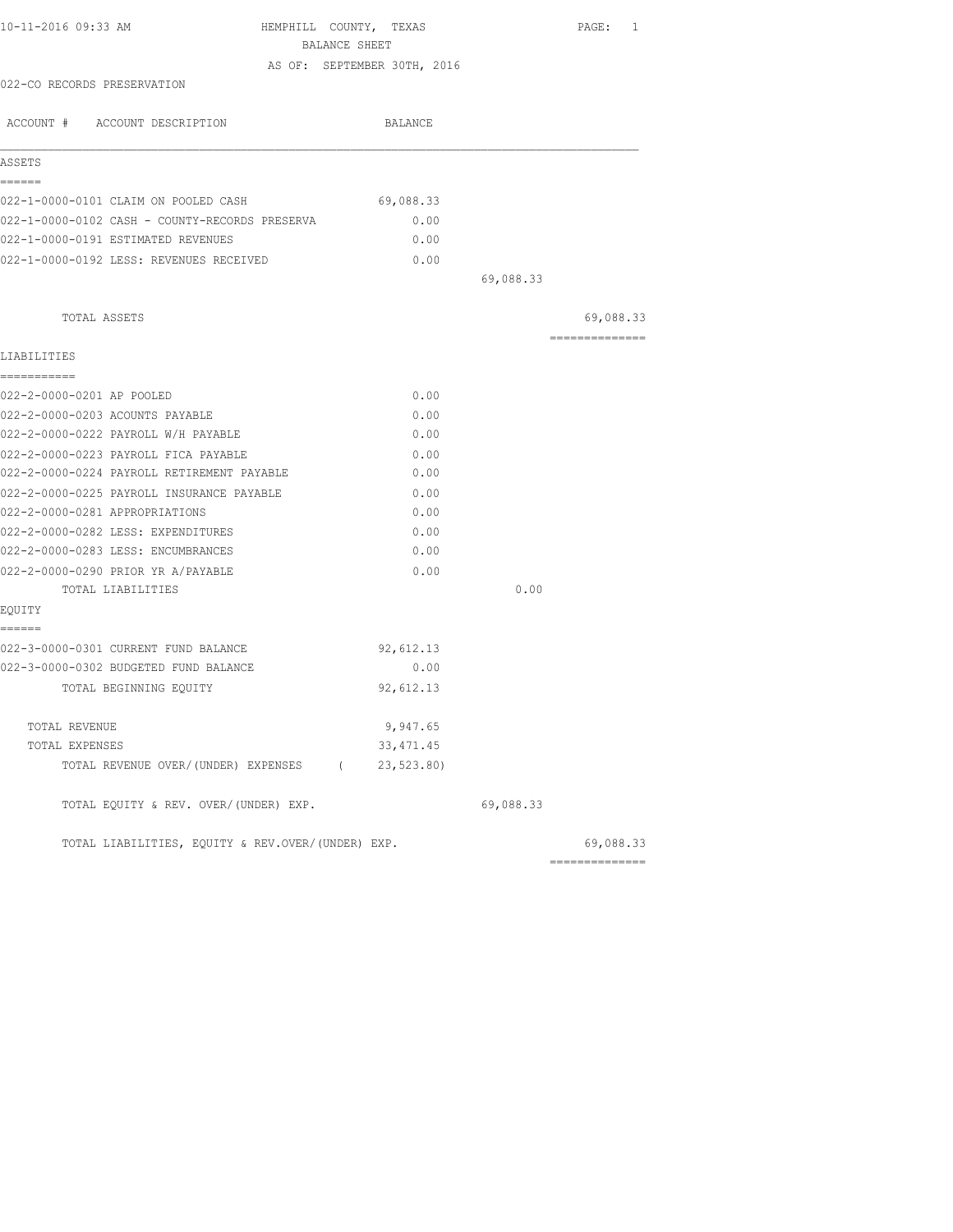| 10-11-2016 09:33 AM                               | HEMPHILL COUNTY, TEXAS      |           | PAGE: 1         |
|---------------------------------------------------|-----------------------------|-----------|-----------------|
|                                                   | BALANCE SHEET               |           |                 |
|                                                   | AS OF: SEPTEMBER 30TH, 2016 |           |                 |
| 022-CO RECORDS PRESERVATION                       |                             |           |                 |
| ACCOUNT # ACCOUNT DESCRIPTION                     | BALANCE                     |           |                 |
| ASSETS                                            |                             |           |                 |
| ======                                            |                             |           |                 |
| 022-1-0000-0101 CLAIM ON POOLED CASH              | 69,088.33                   |           |                 |
| 022-1-0000-0102 CASH - COUNTY-RECORDS PRESERVA    | 0.00                        |           |                 |
| 022-1-0000-0191 ESTIMATED REVENUES                | 0.00                        |           |                 |
| 022-1-0000-0192 LESS: REVENUES RECEIVED           | 0.00                        |           |                 |
|                                                   |                             | 69,088.33 |                 |
| TOTAL ASSETS                                      |                             |           | 69,088.33       |
| LIABILITIES                                       |                             |           | --------------- |
| ===========                                       |                             |           |                 |
| 022-2-0000-0201 AP POOLED                         | 0.00                        |           |                 |
| 022-2-0000-0203 ACOUNTS PAYABLE                   | 0.00                        |           |                 |
| 022-2-0000-0222 PAYROLL W/H PAYABLE               | 0.00                        |           |                 |
| 022-2-0000-0223 PAYROLL FICA PAYABLE              | 0.00                        |           |                 |
| 022-2-0000-0224 PAYROLL RETIREMENT PAYABLE        | 0.00                        |           |                 |
| 022-2-0000-0225 PAYROLL INSURANCE PAYABLE         | 0.00                        |           |                 |
| 022-2-0000-0281 APPROPRIATIONS                    | 0.00                        |           |                 |
| 022-2-0000-0282 LESS: EXPENDITURES                | 0.00                        |           |                 |
| 022-2-0000-0283 LESS: ENCUMBRANCES                | 0.00                        |           |                 |
| 022-2-0000-0290 PRIOR YR A/PAYABLE                | 0.00                        |           |                 |
| TOTAL LIABILITIES                                 |                             | 0.00      |                 |
| EQUITY<br>======                                  |                             |           |                 |
| 022-3-0000-0301 CURRENT FUND BALANCE              | 92,612.13                   |           |                 |
| 022-3-0000-0302 BUDGETED FUND BALANCE             | 0.00                        |           |                 |
| TOTAL BEGINNING EQUITY                            | 92,612.13                   |           |                 |
| TOTAL REVENUE                                     | 9,947.65                    |           |                 |
| TOTAL EXPENSES                                    | 33, 471.45                  |           |                 |
| TOTAL REVENUE OVER/(UNDER) EXPENSES (             | 23, 523.80                  |           |                 |
| TOTAL EQUITY & REV. OVER/(UNDER) EXP.             |                             | 69,088.33 |                 |
| TOTAL LIABILITIES, EQUITY & REV.OVER/(UNDER) EXP. |                             |           | 69,088.33       |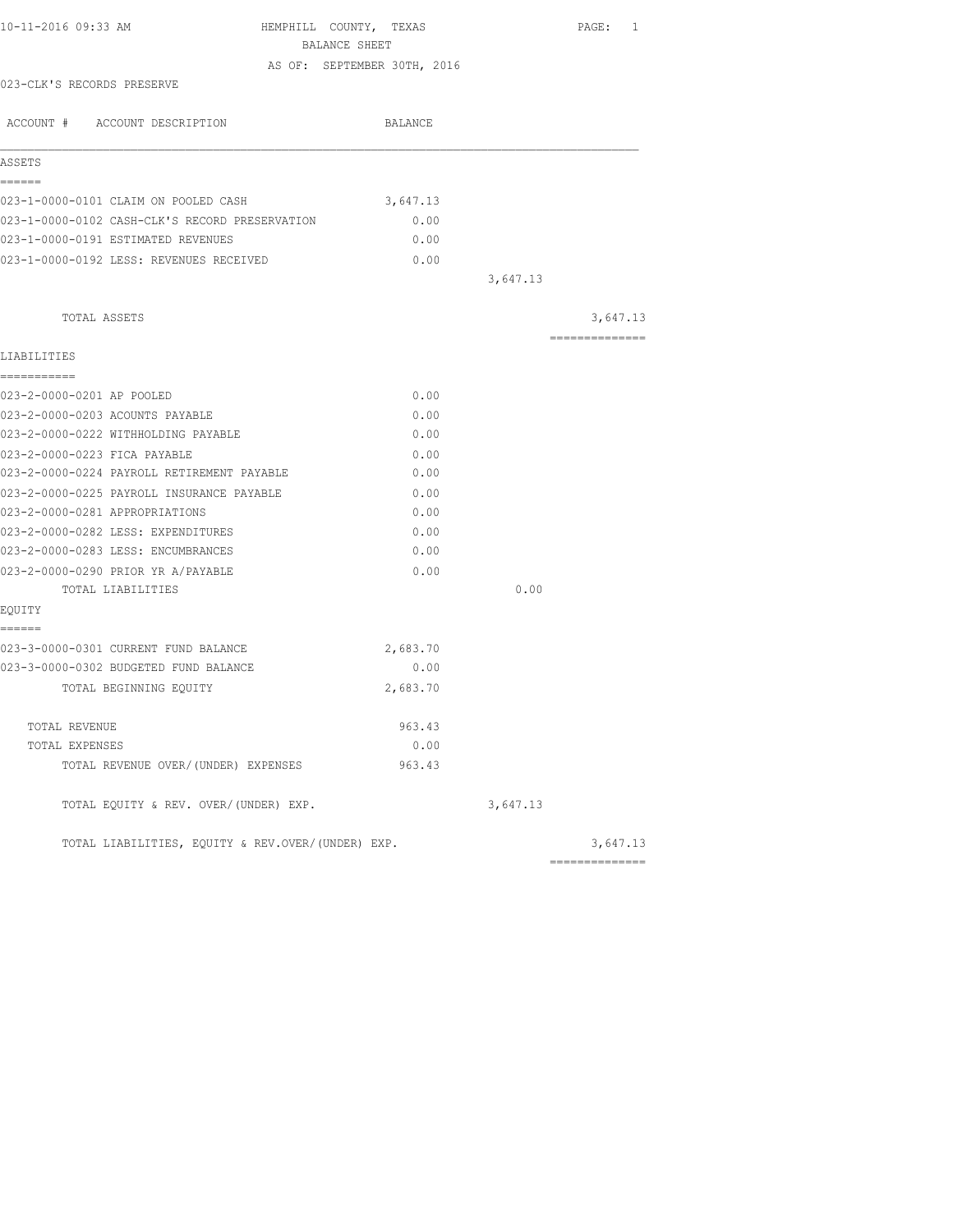| 10-11-2016 09:33 AM                               | HEMPHILL COUNTY, TEXAS<br>BALANCE SHEET |          | PAGE: 1                    |
|---------------------------------------------------|-----------------------------------------|----------|----------------------------|
|                                                   | AS OF: SEPTEMBER 30TH, 2016             |          |                            |
| 023-CLK'S RECORDS PRESERVE                        |                                         |          |                            |
| ACCOUNT # ACCOUNT DESCRIPTION                     | BALANCE                                 |          |                            |
| ASSETS                                            |                                         |          |                            |
| ------                                            |                                         |          |                            |
| 023-1-0000-0101 CLAIM ON POOLED CASH              | 3,647.13                                |          |                            |
| 023-1-0000-0102 CASH-CLK'S RECORD PRESERVATION    | 0.00                                    |          |                            |
| 023-1-0000-0191 ESTIMATED REVENUES                | 0.00                                    |          |                            |
| 023-1-0000-0192 LESS: REVENUES RECEIVED           | 0.00                                    |          |                            |
|                                                   |                                         | 3,647.13 |                            |
| TOTAL ASSETS                                      |                                         |          | 3,647.13                   |
| LIABILITIES                                       |                                         |          | ==============             |
| ------------                                      |                                         |          |                            |
| 023-2-0000-0201 AP POOLED                         | 0.00                                    |          |                            |
| 023-2-0000-0203 ACOUNTS PAYABLE                   | 0.00                                    |          |                            |
| 023-2-0000-0222 WITHHOLDING PAYABLE               | 0.00                                    |          |                            |
| 023-2-0000-0223 FICA PAYABLE                      | 0.00                                    |          |                            |
| 023-2-0000-0224 PAYROLL RETIREMENT PAYABLE        | 0.00                                    |          |                            |
| 023-2-0000-0225 PAYROLL INSURANCE PAYABLE         | 0.00                                    |          |                            |
| 023-2-0000-0281 APPROPRIATIONS                    | 0.00                                    |          |                            |
| 023-2-0000-0282 LESS: EXPENDITURES                | 0.00                                    |          |                            |
| 023-2-0000-0283 LESS: ENCUMBRANCES                | 0.00                                    |          |                            |
| 023-2-0000-0290 PRIOR YR A/PAYABLE                | 0.00                                    |          |                            |
| TOTAL LIABILITIES                                 |                                         | 0.00     |                            |
| EQUITY                                            |                                         |          |                            |
| ======<br>023-3-0000-0301 CURRENT FUND BALANCE    | 2,683.70                                |          |                            |
| 023-3-0000-0302 BUDGETED FUND BALANCE             | 0.00                                    |          |                            |
| TOTAL BEGINNING EQUITY                            | 2,683.70                                |          |                            |
|                                                   | 963.43                                  |          |                            |
| TOTAL REVENUE<br>TOTAL EXPENSES                   | 0.00                                    |          |                            |
| TOTAL REVENUE OVER/(UNDER) EXPENSES               | 963.43                                  |          |                            |
| TOTAL EQUITY & REV. OVER/(UNDER) EXP.             |                                         | 3,647.13 |                            |
|                                                   |                                         |          |                            |
| TOTAL LIABILITIES, EQUITY & REV.OVER/(UNDER) EXP. |                                         |          | 3,647.13<br>-------------- |
|                                                   |                                         |          |                            |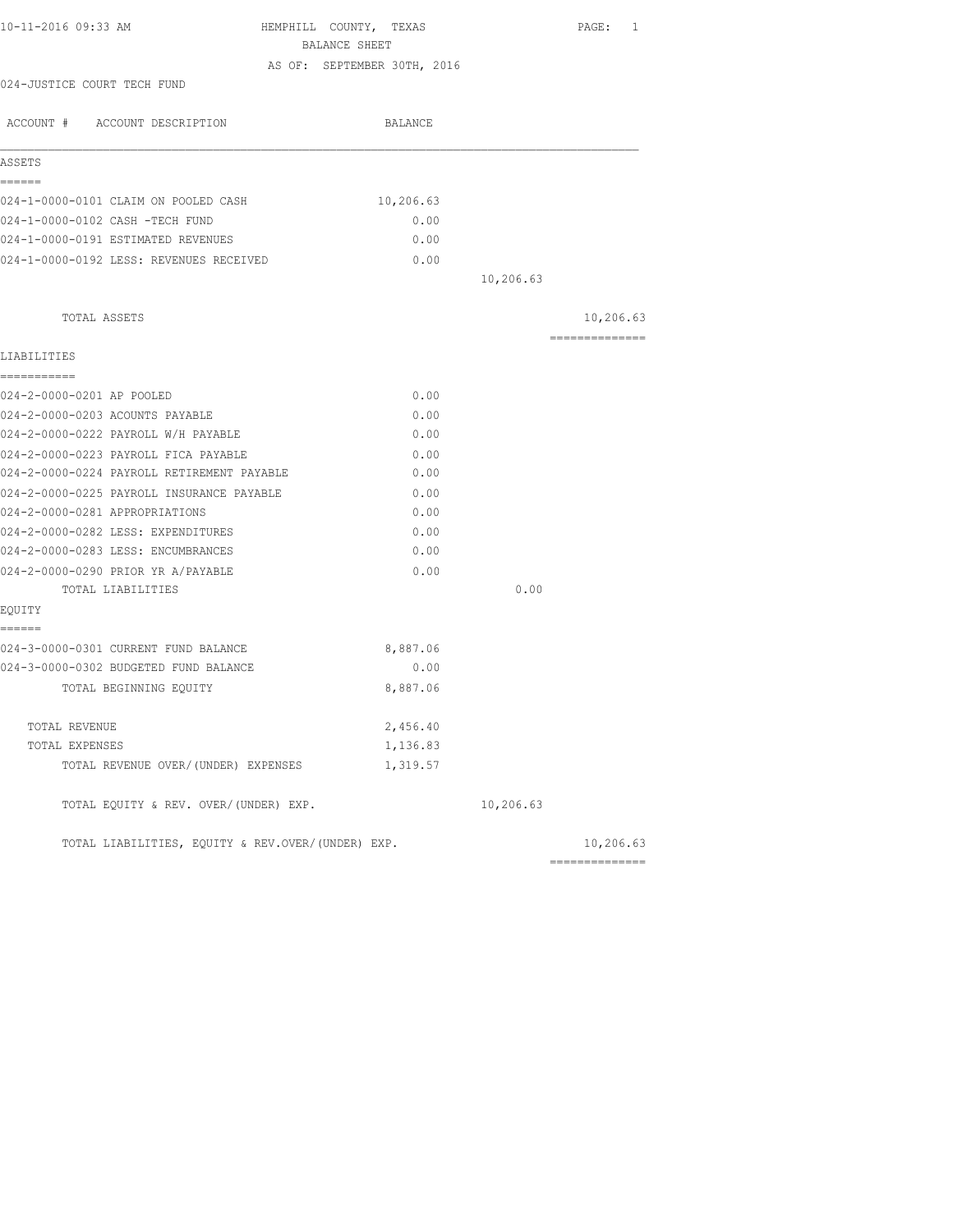| 10-11-2016 09:33 AM                               | HEMPHILL COUNTY, TEXAS<br>BALANCE SHEET |           | PAGE: 1         |
|---------------------------------------------------|-----------------------------------------|-----------|-----------------|
|                                                   | AS OF: SEPTEMBER 30TH, 2016             |           |                 |
| 024-JUSTICE COURT TECH FUND                       |                                         |           |                 |
| ACCOUNT # ACCOUNT DESCRIPTION                     | BALANCE                                 |           |                 |
| ASSETS                                            |                                         |           |                 |
| ======                                            |                                         |           |                 |
| 024-1-0000-0101 CLAIM ON POOLED CASH              | 10,206.63                               |           |                 |
| 024-1-0000-0102 CASH -TECH FUND                   | 0.00                                    |           |                 |
| 024-1-0000-0191 ESTIMATED REVENUES                | 0.00                                    |           |                 |
| 024-1-0000-0192 LESS: REVENUES RECEIVED           | 0.00                                    |           |                 |
|                                                   |                                         | 10,206.63 |                 |
| TOTAL ASSETS                                      |                                         |           | 10,206.63       |
|                                                   |                                         |           | --------------- |
| LIABILITIES<br>-----------                        |                                         |           |                 |
| 024-2-0000-0201 AP POOLED                         | 0.00                                    |           |                 |
| 024-2-0000-0203 ACOUNTS PAYABLE                   | 0.00                                    |           |                 |
| 024-2-0000-0222 PAYROLL W/H PAYABLE               | 0.00                                    |           |                 |
| 024-2-0000-0223 PAYROLL FICA PAYABLE              | 0.00                                    |           |                 |
| 024-2-0000-0224 PAYROLL RETIREMENT PAYABLE        | 0.00                                    |           |                 |
| 024-2-0000-0225 PAYROLL INSURANCE PAYABLE         | 0.00                                    |           |                 |
| 024-2-0000-0281 APPROPRIATIONS                    | 0.00                                    |           |                 |
| 024-2-0000-0282 LESS: EXPENDITURES                | 0.00                                    |           |                 |
| 024-2-0000-0283 LESS: ENCUMBRANCES                | 0.00                                    |           |                 |
| 024-2-0000-0290 PRIOR YR A/PAYABLE                | 0.00                                    |           |                 |
| TOTAL LIABILITIES                                 |                                         | 0.00      |                 |
| EQUITY                                            |                                         |           |                 |
| ======                                            |                                         |           |                 |
| 024-3-0000-0301 CURRENT FUND BALANCE              | 8,887.06                                |           |                 |
| 024-3-0000-0302 BUDGETED FUND BALANCE             | 0.00                                    |           |                 |
| TOTAL BEGINNING EQUITY                            | 8,887.06                                |           |                 |
| TOTAL REVENUE                                     | 2,456.40                                |           |                 |
| TOTAL EXPENSES                                    | 1,136.83                                |           |                 |
| TOTAL REVENUE OVER/(UNDER) EXPENSES               | 1,319.57                                |           |                 |
| TOTAL EQUITY & REV. OVER/(UNDER) EXP.             |                                         | 10,206.63 |                 |
| TOTAL LIABILITIES, EOUITY & REV.OVER/(UNDER) EXP. |                                         |           | 10,206.63       |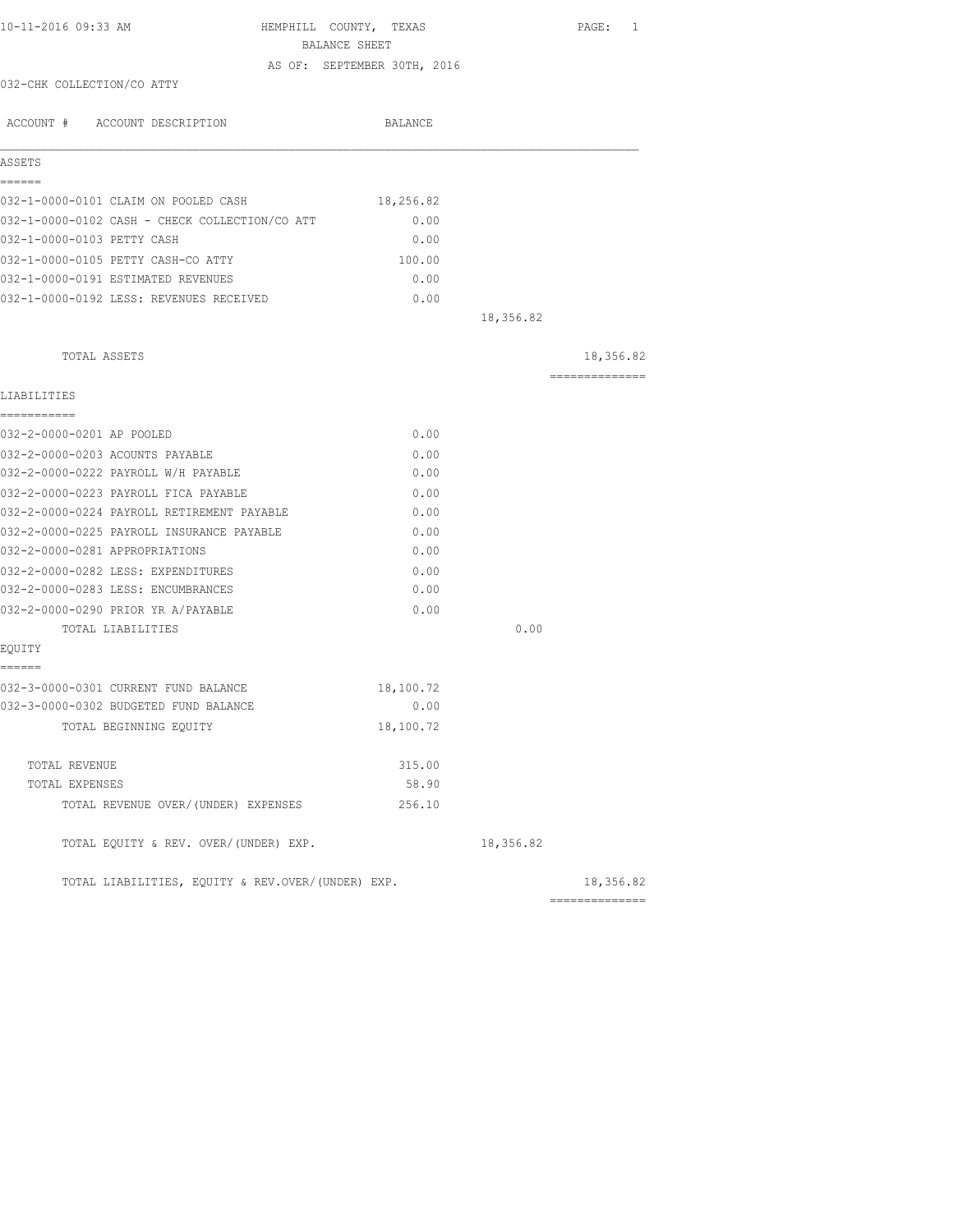| 10-11-2016 09:33 AM                               | HEMPHILL COUNTY, TEXAS<br>BALANCE SHEET |           | PAGE: 1                                                                                                                                                                                                                                                                                                                                                                                                                                                                                |
|---------------------------------------------------|-----------------------------------------|-----------|----------------------------------------------------------------------------------------------------------------------------------------------------------------------------------------------------------------------------------------------------------------------------------------------------------------------------------------------------------------------------------------------------------------------------------------------------------------------------------------|
|                                                   | AS OF: SEPTEMBER 30TH, 2016             |           |                                                                                                                                                                                                                                                                                                                                                                                                                                                                                        |
| 032-CHK COLLECTION/CO ATTY                        |                                         |           |                                                                                                                                                                                                                                                                                                                                                                                                                                                                                        |
| ACCOUNT # ACCOUNT DESCRIPTION                     | BALANCE                                 |           |                                                                                                                                                                                                                                                                                                                                                                                                                                                                                        |
| ASSETS                                            |                                         |           |                                                                                                                                                                                                                                                                                                                                                                                                                                                                                        |
| ======                                            |                                         |           |                                                                                                                                                                                                                                                                                                                                                                                                                                                                                        |
| 032-1-0000-0101 CLAIM ON POOLED CASH              | 18,256.82                               |           |                                                                                                                                                                                                                                                                                                                                                                                                                                                                                        |
| 032-1-0000-0102 CASH - CHECK COLLECTION/CO ATT    | 0.00                                    |           |                                                                                                                                                                                                                                                                                                                                                                                                                                                                                        |
| 032-1-0000-0103 PETTY CASH                        | 0.00                                    |           |                                                                                                                                                                                                                                                                                                                                                                                                                                                                                        |
| 032-1-0000-0105 PETTY CASH-CO ATTY                | 100.00                                  |           |                                                                                                                                                                                                                                                                                                                                                                                                                                                                                        |
| 032-1-0000-0191 ESTIMATED REVENUES                | 0.00                                    |           |                                                                                                                                                                                                                                                                                                                                                                                                                                                                                        |
| 032-1-0000-0192 LESS: REVENUES RECEIVED           | 0.00                                    |           |                                                                                                                                                                                                                                                                                                                                                                                                                                                                                        |
|                                                   |                                         | 18,356.82 |                                                                                                                                                                                                                                                                                                                                                                                                                                                                                        |
| TOTAL ASSETS                                      |                                         |           | 18,356.82                                                                                                                                                                                                                                                                                                                                                                                                                                                                              |
| LIABILITIES                                       |                                         |           | $\begin{array}{cccccccccc} \multicolumn{2}{c}{} & \multicolumn{2}{c}{} & \multicolumn{2}{c}{} & \multicolumn{2}{c}{} & \multicolumn{2}{c}{} & \multicolumn{2}{c}{} & \multicolumn{2}{c}{} & \multicolumn{2}{c}{} & \multicolumn{2}{c}{} & \multicolumn{2}{c}{} & \multicolumn{2}{c}{} & \multicolumn{2}{c}{} & \multicolumn{2}{c}{} & \multicolumn{2}{c}{} & \multicolumn{2}{c}{} & \multicolumn{2}{c}{} & \multicolumn{2}{c}{} & \multicolumn{2}{c}{} & \multicolumn{2}{c}{} & \mult$ |
| ===========                                       |                                         |           |                                                                                                                                                                                                                                                                                                                                                                                                                                                                                        |
| 032-2-0000-0201 AP POOLED                         | 0.00                                    |           |                                                                                                                                                                                                                                                                                                                                                                                                                                                                                        |
| 032-2-0000-0203 ACOUNTS PAYABLE                   | 0.00                                    |           |                                                                                                                                                                                                                                                                                                                                                                                                                                                                                        |
| 032-2-0000-0222 PAYROLL W/H PAYABLE               | 0.00                                    |           |                                                                                                                                                                                                                                                                                                                                                                                                                                                                                        |
| 032-2-0000-0223 PAYROLL FICA PAYABLE              | 0.00                                    |           |                                                                                                                                                                                                                                                                                                                                                                                                                                                                                        |
| 032-2-0000-0224 PAYROLL RETIREMENT PAYABLE        | 0.00                                    |           |                                                                                                                                                                                                                                                                                                                                                                                                                                                                                        |
| 032-2-0000-0225 PAYROLL INSURANCE PAYABLE         | 0.00                                    |           |                                                                                                                                                                                                                                                                                                                                                                                                                                                                                        |
| 032-2-0000-0281 APPROPRIATIONS                    | 0.00                                    |           |                                                                                                                                                                                                                                                                                                                                                                                                                                                                                        |
| 032-2-0000-0282 LESS: EXPENDITURES                | 0.00                                    |           |                                                                                                                                                                                                                                                                                                                                                                                                                                                                                        |
| 032-2-0000-0283 LESS: ENCUMBRANCES                | 0.00                                    |           |                                                                                                                                                                                                                                                                                                                                                                                                                                                                                        |
| 032-2-0000-0290 PRIOR YR A/PAYABLE                | 0.00                                    |           |                                                                                                                                                                                                                                                                                                                                                                                                                                                                                        |
| TOTAL LIABILITIES                                 |                                         | 0.00      |                                                                                                                                                                                                                                                                                                                                                                                                                                                                                        |
| EQUITY                                            |                                         |           |                                                                                                                                                                                                                                                                                                                                                                                                                                                                                        |
| ======                                            |                                         |           |                                                                                                                                                                                                                                                                                                                                                                                                                                                                                        |
| 032-3-0000-0301 CURRENT FUND BALANCE              | 18,100.72                               |           |                                                                                                                                                                                                                                                                                                                                                                                                                                                                                        |
| 032-3-0000-0302 BUDGETED FUND BALANCE             | 0.00                                    |           |                                                                                                                                                                                                                                                                                                                                                                                                                                                                                        |
| TOTAL BEGINNING EQUITY                            | 18,100.72                               |           |                                                                                                                                                                                                                                                                                                                                                                                                                                                                                        |
| TOTAL REVENUE                                     | 315.00                                  |           |                                                                                                                                                                                                                                                                                                                                                                                                                                                                                        |
| TOTAL EXPENSES                                    | 58.90                                   |           |                                                                                                                                                                                                                                                                                                                                                                                                                                                                                        |
| TOTAL REVENUE OVER/ (UNDER) EXPENSES              | 256.10                                  |           |                                                                                                                                                                                                                                                                                                                                                                                                                                                                                        |
| TOTAL EQUITY & REV. OVER/(UNDER) EXP.             |                                         | 18,356.82 |                                                                                                                                                                                                                                                                                                                                                                                                                                                                                        |
| TOTAL LIABILITIES, EQUITY & REV.OVER/(UNDER) EXP. |                                         |           | 18,356.82                                                                                                                                                                                                                                                                                                                                                                                                                                                                              |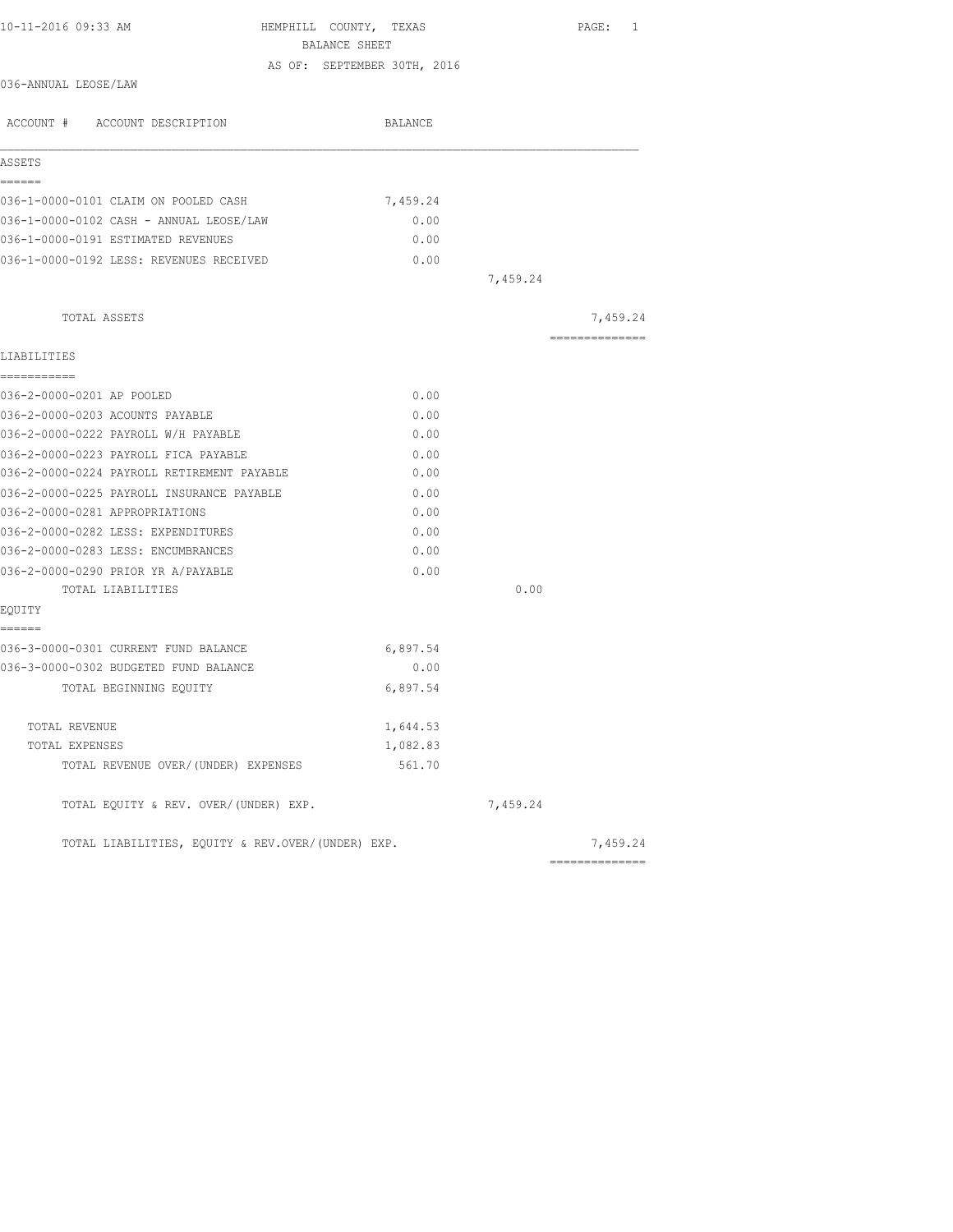| 10-11-2016 09:33 AM                               | HEMPHILL COUNTY, TEXAS<br>BALANCE SHEET |          | PAGE: 1         |
|---------------------------------------------------|-----------------------------------------|----------|-----------------|
|                                                   | AS OF: SEPTEMBER 30TH, 2016             |          |                 |
| 036-ANNUAL LEOSE/LAW                              |                                         |          |                 |
| ACCOUNT # ACCOUNT DESCRIPTION                     | BALANCE                                 |          |                 |
| ASSETS                                            |                                         |          |                 |
| ------                                            |                                         |          |                 |
| 036-1-0000-0101 CLAIM ON POOLED CASH              | 7,459.24                                |          |                 |
| 036-1-0000-0102 CASH - ANNUAL LEOSE/LAW           | 0.00                                    |          |                 |
| 036-1-0000-0191 ESTIMATED REVENUES                | 0.00                                    |          |                 |
| 036-1-0000-0192 LESS: REVENUES RECEIVED           | 0.00                                    |          |                 |
|                                                   |                                         | 7,459.24 |                 |
| TOTAL ASSETS                                      |                                         |          | 7,459.24        |
| LIABILITIES                                       |                                         |          | --------------- |
| ------------                                      |                                         |          |                 |
| 036-2-0000-0201 AP POOLED                         | 0.00                                    |          |                 |
| 036-2-0000-0203 ACOUNTS PAYABLE                   | 0.00                                    |          |                 |
| 036-2-0000-0222 PAYROLL W/H PAYABLE               | 0.00                                    |          |                 |
| 036-2-0000-0223 PAYROLL FICA PAYABLE              | 0.00                                    |          |                 |
| 036-2-0000-0224 PAYROLL RETIREMENT PAYABLE        | 0.00                                    |          |                 |
| 036-2-0000-0225 PAYROLL INSURANCE PAYABLE         | 0.00                                    |          |                 |
| 036-2-0000-0281 APPROPRIATIONS                    | 0.00                                    |          |                 |
| 036-2-0000-0282 LESS: EXPENDITURES                | 0.00                                    |          |                 |
| 036-2-0000-0283 LESS: ENCUMBRANCES                | 0.00                                    |          |                 |
| 036-2-0000-0290 PRIOR YR A/PAYABLE                | 0.00                                    |          |                 |
| TOTAL LIABILITIES                                 |                                         | 0.00     |                 |
| EQUITY<br>======                                  |                                         |          |                 |
| 036-3-0000-0301 CURRENT FUND BALANCE              | 6,897.54                                |          |                 |
| 036-3-0000-0302 BUDGETED FUND BALANCE             | 0.00                                    |          |                 |
| TOTAL BEGINNING EQUITY                            | 6,897.54                                |          |                 |
| TOTAL REVENUE                                     | 1,644.53                                |          |                 |
| TOTAL EXPENSES                                    | 1,082.83                                |          |                 |
| TOTAL REVENUE OVER/(UNDER) EXPENSES               | 561.70                                  |          |                 |
| TOTAL EQUITY & REV. OVER/(UNDER) EXP.             |                                         | 7,459.24 |                 |
| TOTAL LIABILITIES, EQUITY & REV.OVER/(UNDER) EXP. |                                         |          | 7,459.24        |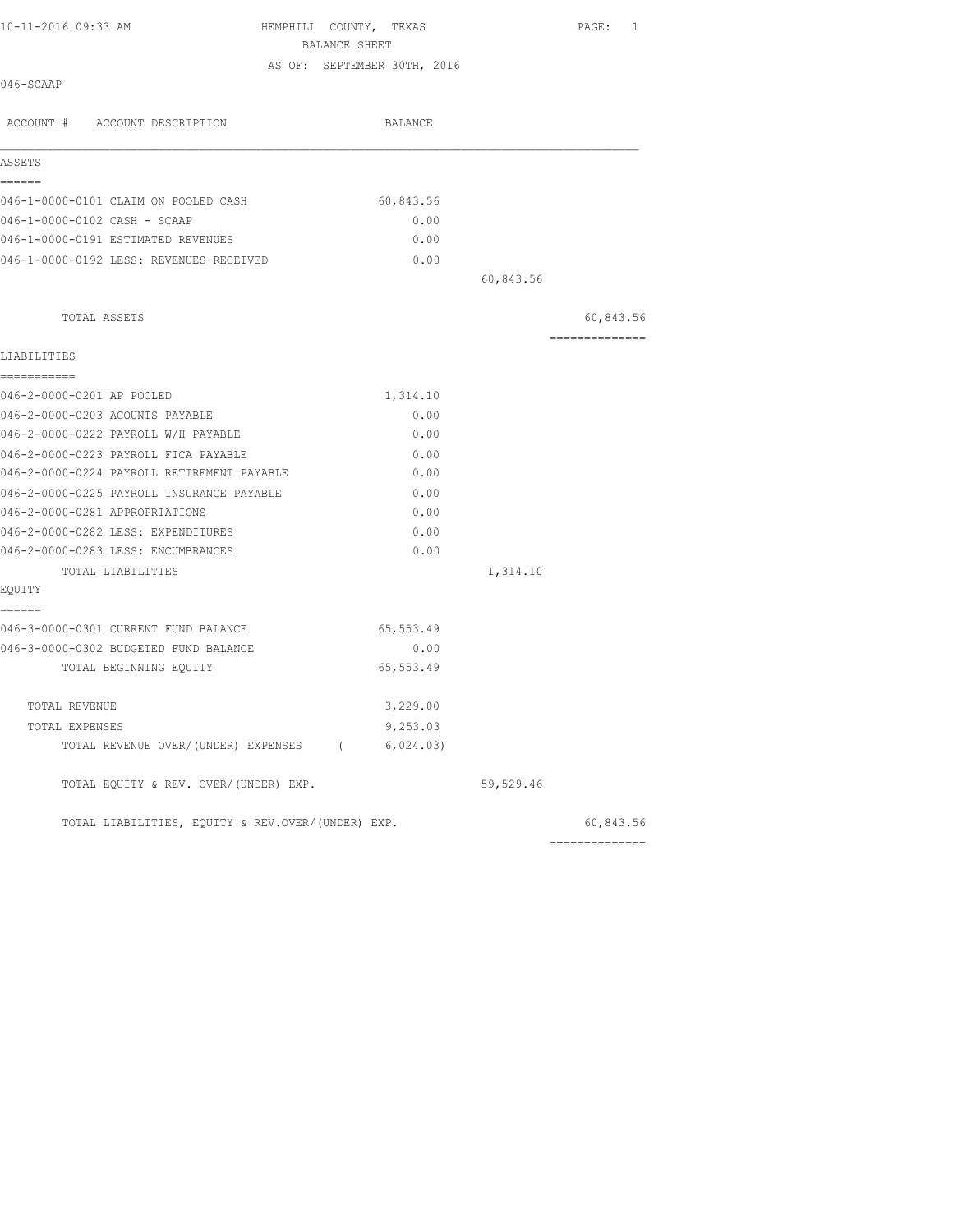| 10-11-2016 09:33 AM                            | HEMPHILL COUNTY, TEXAS<br>BALANCE SHEET | PAGE: 1        |
|------------------------------------------------|-----------------------------------------|----------------|
|                                                | AS OF: SEPTEMBER 30TH, 2016             |                |
| 046-SCAAP                                      |                                         |                |
| ACCOUNT # ACCOUNT DESCRIPTION                  | BALANCE                                 |                |
| ASSETS                                         |                                         |                |
| ------                                         |                                         |                |
| 046-1-0000-0101 CLAIM ON POOLED CASH           | 60,843.56                               |                |
| 046-1-0000-0102 CASH - SCAAP                   | 0.00                                    |                |
| 046-1-0000-0191 ESTIMATED REVENUES             | 0.00                                    |                |
| 046-1-0000-0192 LESS: REVENUES RECEIVED        | 0.00                                    |                |
|                                                | 60,843.56                               |                |
| TOTAL ASSETS                                   |                                         | 60,843.56      |
| LIABILITIES                                    |                                         | ============== |
| ===========                                    |                                         |                |
| 046-2-0000-0201 AP POOLED                      | 1,314.10                                |                |
| 046-2-0000-0203 ACOUNTS PAYABLE                | 0.00                                    |                |
| 046-2-0000-0222 PAYROLL W/H PAYABLE            | 0.00                                    |                |
| 046-2-0000-0223 PAYROLL FICA PAYABLE           | 0.00                                    |                |
| 046-2-0000-0224 PAYROLL RETIREMENT PAYABLE     | 0.00                                    |                |
| 046-2-0000-0225 PAYROLL INSURANCE PAYABLE      | 0.00                                    |                |
| 046-2-0000-0281 APPROPRIATIONS                 | 0.00                                    |                |
| 046-2-0000-0282 LESS: EXPENDITURES             | 0.00                                    |                |
| 046-2-0000-0283 LESS: ENCUMBRANCES             | 0.00                                    |                |
| TOTAL LIABILITIES                              | 1,314.10                                |                |
| EQUITY<br>======                               |                                         |                |
| 046-3-0000-0301 CURRENT FUND BALANCE           | 65, 553.49                              |                |
| 046-3-0000-0302 BUDGETED FUND BALANCE          | 0.00                                    |                |
| TOTAL BEGINNING EOUITY                         | 65, 553.49                              |                |
| TOTAL REVENUE                                  | 3,229.00                                |                |
| TOTAL EXPENSES                                 | 9,253.03                                |                |
| TOTAL REVENUE OVER/(UNDER) EXPENSES (6,024.03) |                                         |                |
| TOTAL EQUITY & REV. OVER/(UNDER) EXP.          | 59,529.46                               |                |

TOTAL LIABILITIES, EQUITY & REV.OVER/(UNDER) EXP.

| 60,843.56 |
|-----------|
|           |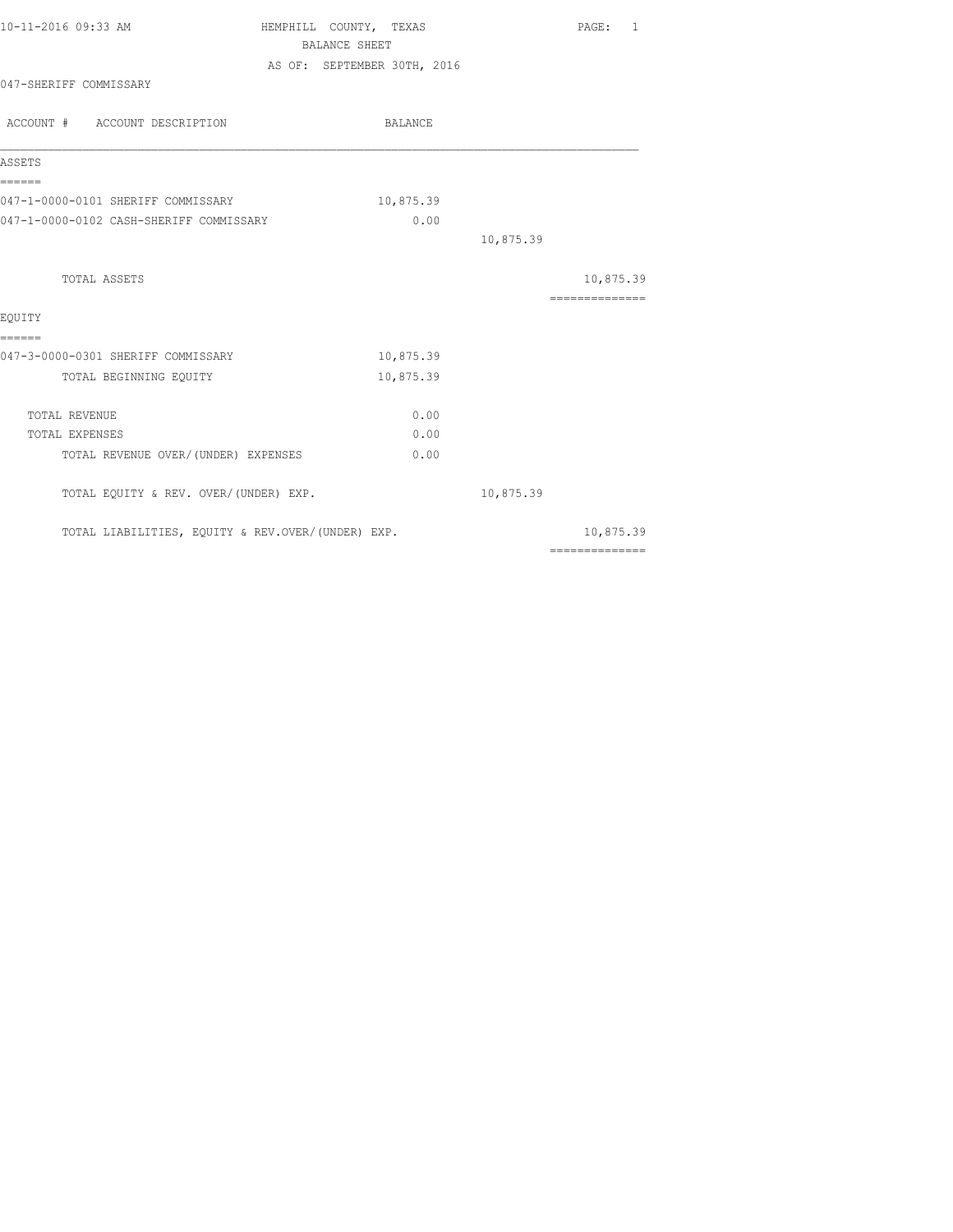|                                         |           |                                                                                                                             | PAGE: 1        |
|-----------------------------------------|-----------|-----------------------------------------------------------------------------------------------------------------------------|----------------|
|                                         |           |                                                                                                                             |                |
|                                         |           |                                                                                                                             |                |
|                                         |           |                                                                                                                             |                |
| ACCOUNT # ACCOUNT DESCRIPTION           | BALANCE   |                                                                                                                             |                |
|                                         |           |                                                                                                                             |                |
| 047-1-0000-0101 SHERIFF COMMISSARY      | 10,875.39 |                                                                                                                             |                |
| 047-1-0000-0102 CASH-SHERIFF COMMISSARY | 0.00      |                                                                                                                             |                |
|                                         |           | 10,875.39                                                                                                                   |                |
|                                         |           |                                                                                                                             | 10,875.39      |
|                                         |           |                                                                                                                             | ============== |
| 047-3-0000-0301 SHERIFF COMMISSARY      | 10,875.39 |                                                                                                                             |                |
|                                         | 10,875.39 |                                                                                                                             |                |
|                                         | 0.00      |                                                                                                                             |                |
|                                         | 0.00      |                                                                                                                             |                |
| TOTAL REVENUE OVER/(UNDER) EXPENSES     | 0.00      |                                                                                                                             |                |
| TOTAL EQUITY & REV. OVER/(UNDER) EXP.   |           | 10,875.39                                                                                                                   |                |
|                                         |           |                                                                                                                             | 10,875.39      |
|                                         |           | HEMPHILL COUNTY, TEXAS<br>BALANCE SHEET<br>AS OF: SEPTEMBER 30TH, 2016<br>TOTAL LIABILITIES, EQUITY & REV.OVER/(UNDER) EXP. |                |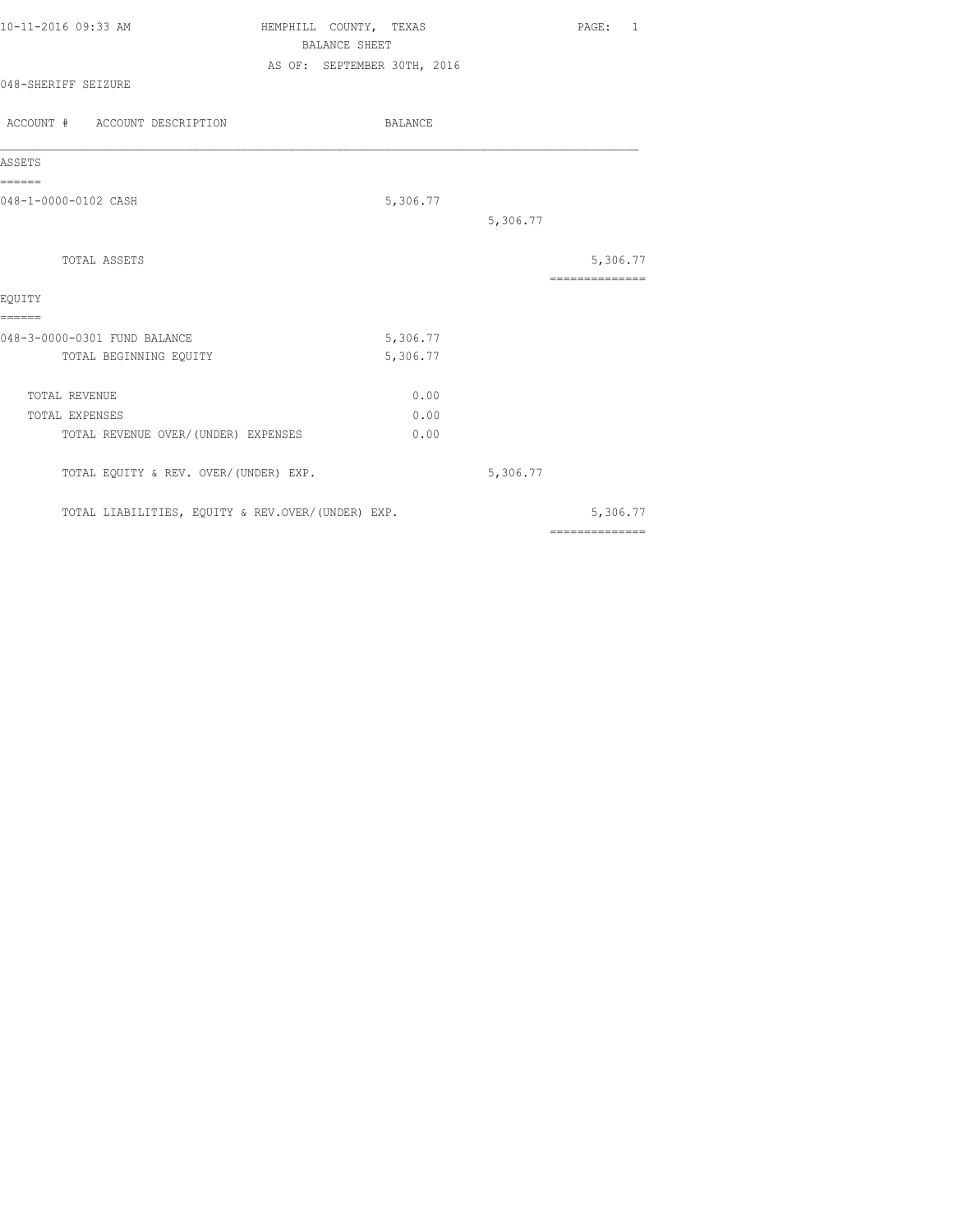| 10-11-2016 09:33 AM | HEMPHILL COUNTY, TEXAS      |  | PAGE: |  |
|---------------------|-----------------------------|--|-------|--|
|                     | BALANCE SHEET               |  |       |  |
|                     | AS OF: SEPTEMBER 30TH, 2016 |  |       |  |
| 048-SHERIFF SEIZURE |                             |  |       |  |

| ACCOUNT # ACCOUNT DESCRIPTION                     | <b>BALANCE</b> |          |                            |
|---------------------------------------------------|----------------|----------|----------------------------|
| ASSETS                                            |                |          |                            |
| ======<br>048-1-0000-0102 CASH                    | 5,306.77       |          |                            |
|                                                   |                | 5,306.77 |                            |
| TOTAL ASSETS                                      |                |          | 5,306.77<br>============== |
| EOUITY                                            |                |          |                            |
| ======<br>048-3-0000-0301 FUND BALANCE            | 5,306.77       |          |                            |
| TOTAL BEGINNING EQUITY                            | 5,306.77       |          |                            |
| <b>TOTAL REVENUE</b>                              | 0.00           |          |                            |
| TOTAL EXPENSES                                    | 0.00           |          |                            |
| TOTAL REVENUE OVER/ (UNDER) EXPENSES              | 0.00           |          |                            |
| TOTAL EQUITY & REV. OVER/(UNDER) EXP.             |                | 5,306.77 |                            |
| TOTAL LIABILITIES, EQUITY & REV.OVER/(UNDER) EXP. |                |          | 5,306.77                   |
|                                                   |                |          | ==============             |